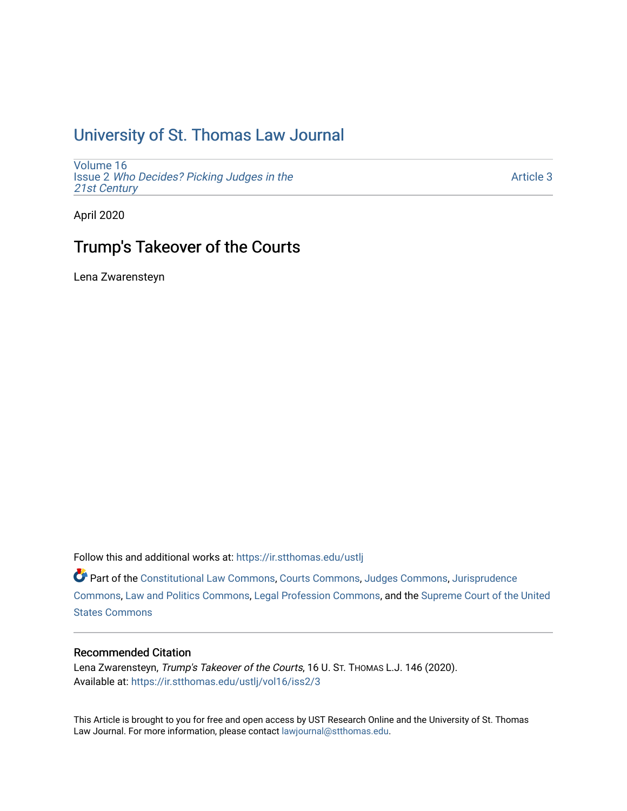# [University of St. Thomas Law Journal](https://ir.stthomas.edu/ustlj)

[Volume 16](https://ir.stthomas.edu/ustlj/vol16) Issue 2 [Who Decides? Picking Judges in the](https://ir.stthomas.edu/ustlj/vol16/iss2)  [21st Century](https://ir.stthomas.edu/ustlj/vol16/iss2)

[Article 3](https://ir.stthomas.edu/ustlj/vol16/iss2/3) 

April 2020

# Trump's Takeover of the Courts

Lena Zwarensteyn

Follow this and additional works at: [https://ir.stthomas.edu/ustlj](https://ir.stthomas.edu/ustlj?utm_source=ir.stthomas.edu%2Fustlj%2Fvol16%2Fiss2%2F3&utm_medium=PDF&utm_campaign=PDFCoverPages)

Part of the [Constitutional Law Commons,](http://network.bepress.com/hgg/discipline/589?utm_source=ir.stthomas.edu%2Fustlj%2Fvol16%2Fiss2%2F3&utm_medium=PDF&utm_campaign=PDFCoverPages) [Courts Commons,](http://network.bepress.com/hgg/discipline/839?utm_source=ir.stthomas.edu%2Fustlj%2Fvol16%2Fiss2%2F3&utm_medium=PDF&utm_campaign=PDFCoverPages) [Judges Commons](http://network.bepress.com/hgg/discipline/849?utm_source=ir.stthomas.edu%2Fustlj%2Fvol16%2Fiss2%2F3&utm_medium=PDF&utm_campaign=PDFCoverPages), [Jurisprudence](http://network.bepress.com/hgg/discipline/610?utm_source=ir.stthomas.edu%2Fustlj%2Fvol16%2Fiss2%2F3&utm_medium=PDF&utm_campaign=PDFCoverPages) [Commons](http://network.bepress.com/hgg/discipline/610?utm_source=ir.stthomas.edu%2Fustlj%2Fvol16%2Fiss2%2F3&utm_medium=PDF&utm_campaign=PDFCoverPages), [Law and Politics Commons,](http://network.bepress.com/hgg/discipline/867?utm_source=ir.stthomas.edu%2Fustlj%2Fvol16%2Fiss2%2F3&utm_medium=PDF&utm_campaign=PDFCoverPages) [Legal Profession Commons](http://network.bepress.com/hgg/discipline/1075?utm_source=ir.stthomas.edu%2Fustlj%2Fvol16%2Fiss2%2F3&utm_medium=PDF&utm_campaign=PDFCoverPages), and the [Supreme Court of the United](http://network.bepress.com/hgg/discipline/1350?utm_source=ir.stthomas.edu%2Fustlj%2Fvol16%2Fiss2%2F3&utm_medium=PDF&utm_campaign=PDFCoverPages)  [States Commons](http://network.bepress.com/hgg/discipline/1350?utm_source=ir.stthomas.edu%2Fustlj%2Fvol16%2Fiss2%2F3&utm_medium=PDF&utm_campaign=PDFCoverPages) 

## Recommended Citation

Lena Zwarensteyn, Trump's Takeover of the Courts, 16 U. ST. THOMAS L.J. 146 (2020). Available at: [https://ir.stthomas.edu/ustlj/vol16/iss2/3](https://ir.stthomas.edu/ustlj/vol16/iss2/3?utm_source=ir.stthomas.edu%2Fustlj%2Fvol16%2Fiss2%2F3&utm_medium=PDF&utm_campaign=PDFCoverPages)

This Article is brought to you for free and open access by UST Research Online and the University of St. Thomas Law Journal. For more information, please contact [lawjournal@stthomas.edu.](mailto:lawjournal@stthomas.edu)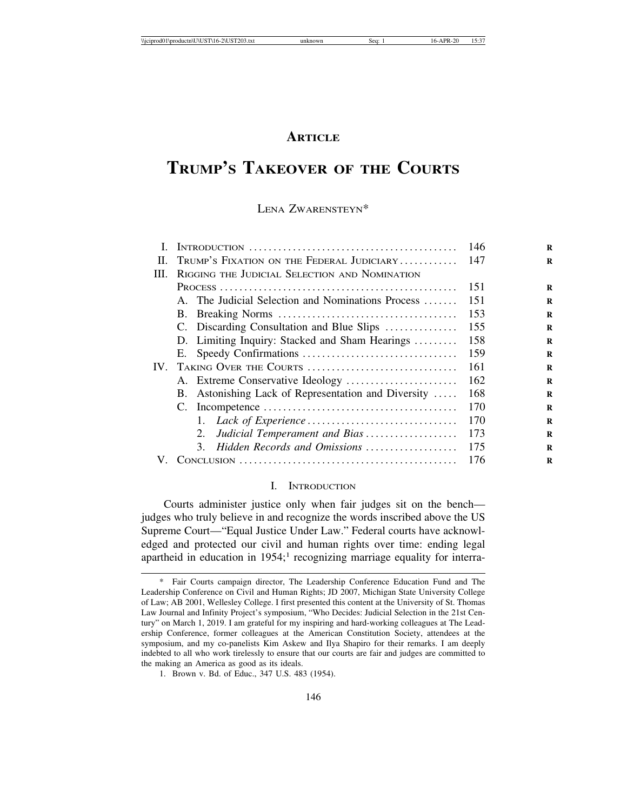## **ARTICLE**

# **TRUMP'S TAKEOVER OF THE COURTS**

## LENA ZWARENSTEYN\*

|      |                                                     | -146 |
|------|-----------------------------------------------------|------|
| H.   | TRUMP'S FIXATION ON THE FEDERAL JUDICIARY           | -147 |
| III. | RIGGING THE JUDICIAL SELECTION AND NOMINATION       |      |
|      |                                                     | 151  |
|      | A. The Judicial Selection and Nominations Process   | 151  |
|      |                                                     | 153  |
|      | C. Discarding Consultation and Blue Slips           | 155  |
|      | D. Limiting Inquiry: Stacked and Sham Hearings      | 158  |
|      |                                                     | 159  |
| IV.  | TAKING OVER THE COURTS                              | 161  |
|      | A. Extreme Conservative Ideology                    | 162  |
|      | B. Astonishing Lack of Representation and Diversity | 168  |
|      |                                                     | 170  |
|      |                                                     | 170  |
|      | Judicial Temperament and Bias<br>2.                 | 173  |
|      | Hidden Records and Omissions<br>3.                  | 175  |
| V.   |                                                     | 176  |
|      |                                                     |      |

#### I. INTRODUCTION

Courts administer justice only when fair judges sit on the bench judges who truly believe in and recognize the words inscribed above the US Supreme Court—"Equal Justice Under Law." Federal courts have acknowledged and protected our civil and human rights over time: ending legal apartheid in education in 1954;<sup>1</sup> recognizing marriage equality for interra-

Fair Courts campaign director, The Leadership Conference Education Fund and The Leadership Conference on Civil and Human Rights; JD 2007, Michigan State University College of Law; AB 2001, Wellesley College. I first presented this content at the University of St. Thomas Law Journal and Infinity Project's symposium, "Who Decides: Judicial Selection in the 21st Century" on March 1, 2019. I am grateful for my inspiring and hard-working colleagues at The Leadership Conference, former colleagues at the American Constitution Society, attendees at the symposium, and my co-panelists Kim Askew and Ilya Shapiro for their remarks. I am deeply indebted to all who work tirelessly to ensure that our courts are fair and judges are committed to the making an America as good as its ideals.

<sup>1.</sup> Brown v. Bd. of Educ., 347 U.S. 483 (1954).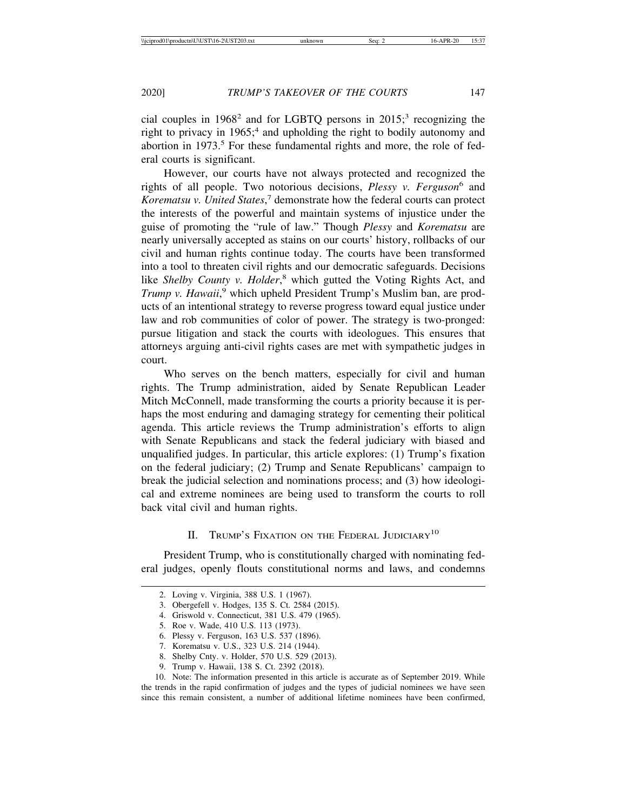cial couples in 1968<sup>2</sup> and for LGBTQ persons in 2015;<sup>3</sup> recognizing the right to privacy in 1965;<sup>4</sup> and upholding the right to bodily autonomy and abortion in 1973.<sup>5</sup> For these fundamental rights and more, the role of federal courts is significant.

However, our courts have not always protected and recognized the rights of all people. Two notorious decisions, *Plessy v. Ferguson*<sup>6</sup> and Korematsu v. United States,<sup>7</sup> demonstrate how the federal courts can protect the interests of the powerful and maintain systems of injustice under the guise of promoting the "rule of law." Though *Plessy* and *Korematsu* are nearly universally accepted as stains on our courts' history, rollbacks of our civil and human rights continue today. The courts have been transformed into a tool to threaten civil rights and our democratic safeguards. Decisions like Shelby County v. Holder,<sup>8</sup> which gutted the Voting Rights Act, and Trump v. Hawaii,<sup>9</sup> which upheld President Trump's Muslim ban, are products of an intentional strategy to reverse progress toward equal justice under law and rob communities of color of power. The strategy is two-pronged: pursue litigation and stack the courts with ideologues. This ensures that attorneys arguing anti-civil rights cases are met with sympathetic judges in court.

Who serves on the bench matters, especially for civil and human rights. The Trump administration, aided by Senate Republican Leader Mitch McConnell, made transforming the courts a priority because it is perhaps the most enduring and damaging strategy for cementing their political agenda. This article reviews the Trump administration's efforts to align with Senate Republicans and stack the federal judiciary with biased and unqualified judges. In particular, this article explores: (1) Trump's fixation on the federal judiciary; (2) Trump and Senate Republicans' campaign to break the judicial selection and nominations process; and (3) how ideological and extreme nominees are being used to transform the courts to roll back vital civil and human rights.

## II. TRUMP'S FIXATION ON THE FEDERAL JUDICIARY<sup>10</sup>

President Trump, who is constitutionally charged with nominating federal judges, openly flouts constitutional norms and laws, and condemns

8. Shelby Cnty. v. Holder, 570 U.S. 529 (2013).

<sup>2.</sup> Loving v. Virginia, 388 U.S. 1 (1967).

<sup>3.</sup> Obergefell v. Hodges, 135 S. Ct. 2584 (2015).

<sup>4.</sup> Griswold v. Connecticut, 381 U.S. 479 (1965).

<sup>5.</sup> Roe v. Wade, 410 U.S. 113 (1973).

<sup>6.</sup> Plessy v. Ferguson, 163 U.S. 537 (1896).

<sup>7.</sup> Korematsu v. U.S., 323 U.S. 214 (1944).

<sup>9.</sup> Trump v. Hawaii, 138 S. Ct. 2392 (2018).

<sup>10.</sup> Note: The information presented in this article is accurate as of September 2019. While the trends in the rapid confirmation of judges and the types of judicial nominees we have seen since this remain consistent, a number of additional lifetime nominees have been confirmed,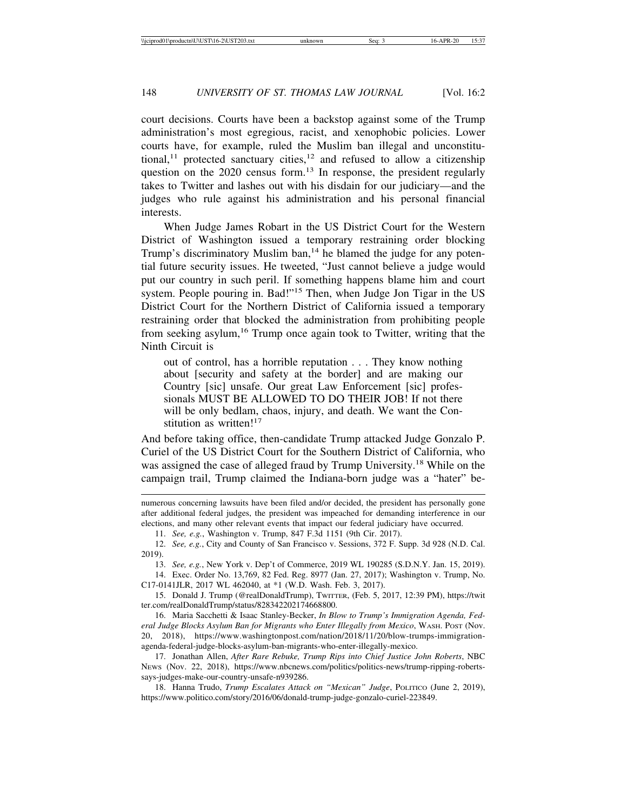court decisions. Courts have been a backstop against some of the Trump administration's most egregious, racist, and xenophobic policies. Lower courts have, for example, ruled the Muslim ban illegal and unconstitutional,<sup>11</sup> protected sanctuary cities,<sup>12</sup> and refused to allow a citizenship question on the 2020 census form.<sup>13</sup> In response, the president regularly takes to Twitter and lashes out with his disdain for our judiciary—and the judges who rule against his administration and his personal financial interests.

When Judge James Robart in the US District Court for the Western District of Washington issued a temporary restraining order blocking Trump's discriminatory Muslim ban, $14$  he blamed the judge for any potential future security issues. He tweeted, "Just cannot believe a judge would put our country in such peril. If something happens blame him and court system. People pouring in. Bad!"15 Then, when Judge Jon Tigar in the US District Court for the Northern District of California issued a temporary restraining order that blocked the administration from prohibiting people from seeking asylum,<sup>16</sup> Trump once again took to Twitter, writing that the Ninth Circuit is

out of control, has a horrible reputation . . . They know nothing about [security and safety at the border] and are making our Country [sic] unsafe. Our great Law Enforcement [sic] professionals MUST BE ALLOWED TO DO THEIR JOB! If not there will be only bedlam, chaos, injury, and death. We want the Constitution as written! $17$ 

And before taking office, then-candidate Trump attacked Judge Gonzalo P. Curiel of the US District Court for the Southern District of California, who was assigned the case of alleged fraud by Trump University.18 While on the campaign trail, Trump claimed the Indiana-born judge was a "hater" be-

numerous concerning lawsuits have been filed and/or decided, the president has personally gone after additional federal judges, the president was impeached for demanding interference in our elections, and many other relevant events that impact our federal judiciary have occurred.

11. *See, e.g.*, Washington v. Trump, 847 F.3d 1151 (9th Cir. 2017).

12. *See, e.g.*, City and County of San Francisco v. Sessions, 372 F. Supp. 3d 928 (N.D. Cal. 2019).

13. *See, e.g.*, New York v. Dep't of Commerce, 2019 WL 190285 (S.D.N.Y. Jan. 15, 2019).

14. Exec. Order No. 13,769, 82 Fed. Reg. 8977 (Jan. 27, 2017); Washington v. Trump, No. C17-0141JLR, 2017 WL 462040, at \*1 (W.D. Wash. Feb. 3, 2017).

15. Donald J. Trump (@realDonaldTrump), TWITTER, (Feb. 5, 2017, 12:39 PM), https://twit ter.com/realDonaldTrump/status/828342202174668800.

16. Maria Sacchetti & Isaac Stanley-Becker, *In Blow to Trump's Immigration Agenda, Federal Judge Blocks Asylum Ban for Migrants who Enter Illegally from Mexico*, WASH. POST (Nov. 20, 2018), https://www.washingtonpost.com/nation/2018/11/20/blow-trumps-immigrationagenda-federal-judge-blocks-asylum-ban-migrants-who-enter-illegally-mexico.

17. Jonathan Allen, *After Rare Rebuke, Trump Rips into Chief Justice John Roberts*, NBC NEWS (Nov. 22, 2018), https://www.nbcnews.com/politics/politics-news/trump-ripping-robertssays-judges-make-our-country-unsafe-n939286.

18. Hanna Trudo, *Trump Escalates Attack on "Mexican" Judge*, POLITICO (June 2, 2019), https://www.politico.com/story/2016/06/donald-trump-judge-gonzalo-curiel-223849.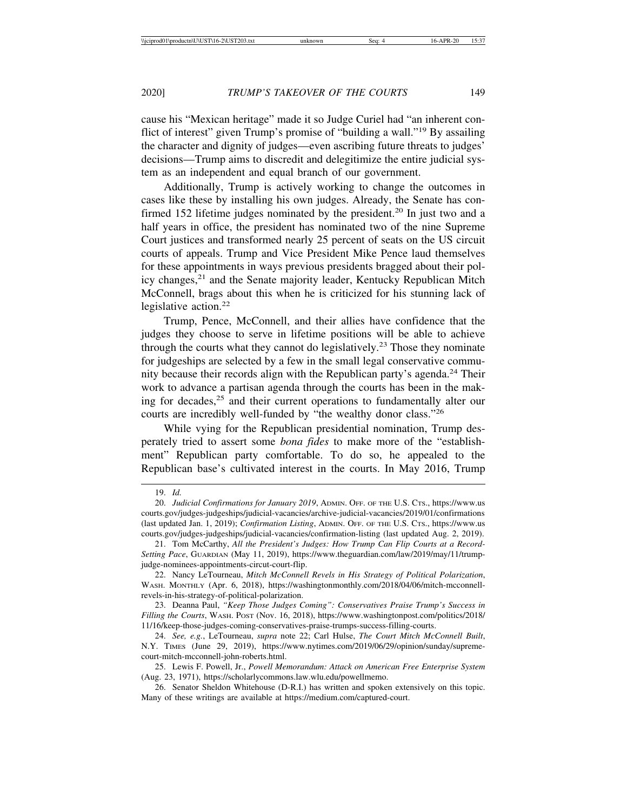cause his "Mexican heritage" made it so Judge Curiel had "an inherent conflict of interest" given Trump's promise of "building a wall."19 By assailing the character and dignity of judges—even ascribing future threats to judges' decisions—Trump aims to discredit and delegitimize the entire judicial system as an independent and equal branch of our government.

Additionally, Trump is actively working to change the outcomes in cases like these by installing his own judges. Already, the Senate has confirmed 152 lifetime judges nominated by the president.<sup>20</sup> In just two and a half years in office, the president has nominated two of the nine Supreme Court justices and transformed nearly 25 percent of seats on the US circuit courts of appeals. Trump and Vice President Mike Pence laud themselves for these appointments in ways previous presidents bragged about their policy changes,<sup>21</sup> and the Senate majority leader, Kentucky Republican Mitch McConnell, brags about this when he is criticized for his stunning lack of legislative action.<sup>22</sup>

Trump, Pence, McConnell, and their allies have confidence that the judges they choose to serve in lifetime positions will be able to achieve through the courts what they cannot do legislatively.<sup>23</sup> Those they nominate for judgeships are selected by a few in the small legal conservative community because their records align with the Republican party's agenda.<sup>24</sup> Their work to advance a partisan agenda through the courts has been in the making for decades,<sup>25</sup> and their current operations to fundamentally alter our courts are incredibly well-funded by "the wealthy donor class."<sup>26</sup>

While vying for the Republican presidential nomination, Trump desperately tried to assert some *bona fides* to make more of the "establishment" Republican party comfortable. To do so, he appealed to the Republican base's cultivated interest in the courts. In May 2016, Trump

<sup>19.</sup> *Id.*

<sup>20.</sup> *Judicial Confirmations for January 2019*, ADMIN. OFF. OF THE U.S. CTS., https://www.us courts.gov/judges-judgeships/judicial-vacancies/archive-judicial-vacancies/2019/01/confirmations (last updated Jan. 1, 2019); *Confirmation Listing*, ADMIN. OFF. OF THE U.S. CTS., https://www.us courts.gov/judges-judgeships/judicial-vacancies/confirmation-listing (last updated Aug. 2, 2019).

<sup>21.</sup> Tom McCarthy, *All the President's Judges: How Trump Can Flip Courts at a Record-Setting Pace*, GUARDIAN (May 11, 2019), https://www.theguardian.com/law/2019/may/11/trumpjudge-nominees-appointments-circut-court-flip.

<sup>22.</sup> Nancy LeTourneau, *Mitch McConnell Revels in His Strategy of Political Polarization*, WASH. MONTHLY (Apr. 6, 2018), https://washingtonmonthly.com/2018/04/06/mitch-mcconnellrevels-in-his-strategy-of-political-polarization.

<sup>23.</sup> Deanna Paul, *"Keep Those Judges Coming": Conservatives Praise Trump's Success in Filling the Courts*, WASH. POST (Nov. 16, 2018), https://www.washingtonpost.com/politics/2018/ 11/16/keep-those-judges-coming-conservatives-praise-trumps-success-filling-courts.

<sup>24.</sup> *See, e.g.*, LeTourneau, *supra* note 22; Carl Hulse, *The Court Mitch McConnell Built*, N.Y. TIMES (June 29, 2019), https://www.nytimes.com/2019/06/29/opinion/sunday/supremecourt-mitch-mcconnell-john-roberts.html.

<sup>25.</sup> Lewis F. Powell, Jr., *Powell Memorandum: Attack on American Free Enterprise System* (Aug. 23, 1971), https://scholarlycommons.law.wlu.edu/powellmemo.

<sup>26.</sup> Senator Sheldon Whitehouse (D-R.I.) has written and spoken extensively on this topic. Many of these writings are available at https://medium.com/captured-court.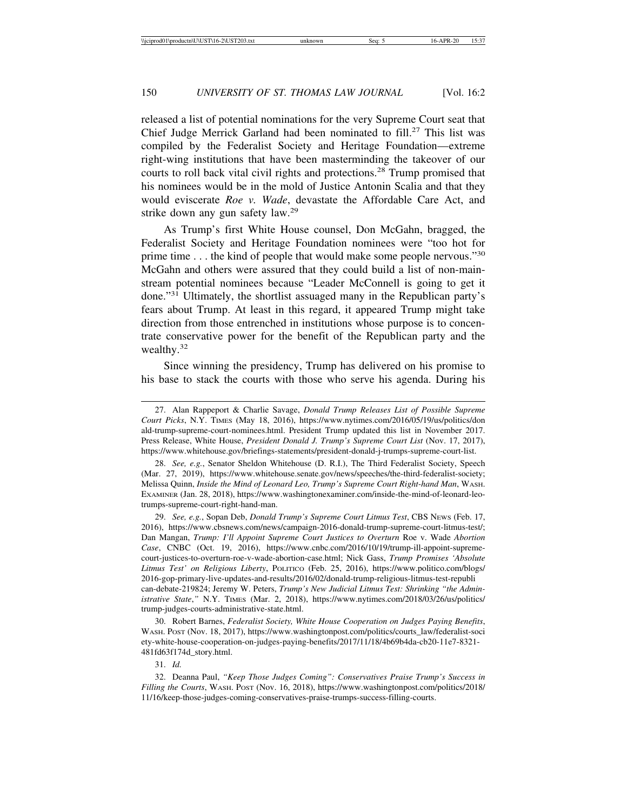released a list of potential nominations for the very Supreme Court seat that Chief Judge Merrick Garland had been nominated to fill.<sup>27</sup> This list was compiled by the Federalist Society and Heritage Foundation—extreme right-wing institutions that have been masterminding the takeover of our courts to roll back vital civil rights and protections.<sup>28</sup> Trump promised that his nominees would be in the mold of Justice Antonin Scalia and that they would eviscerate *Roe v. Wade*, devastate the Affordable Care Act, and strike down any gun safety law.<sup>29</sup>

As Trump's first White House counsel, Don McGahn, bragged, the Federalist Society and Heritage Foundation nominees were "too hot for prime time . . . the kind of people that would make some people nervous."<sup>30</sup> McGahn and others were assured that they could build a list of non-mainstream potential nominees because "Leader McConnell is going to get it done."31 Ultimately, the shortlist assuaged many in the Republican party's fears about Trump. At least in this regard, it appeared Trump might take direction from those entrenched in institutions whose purpose is to concentrate conservative power for the benefit of the Republican party and the wealthy.<sup>32</sup>

Since winning the presidency, Trump has delivered on his promise to his base to stack the courts with those who serve his agenda. During his

31. *Id.*

32. Deanna Paul, *"Keep Those Judges Coming": Conservatives Praise Trump's Success in Filling the Courts*, WASH. POST (Nov. 16, 2018), https://www.washingtonpost.com/politics/2018/ 11/16/keep-those-judges-coming-conservatives-praise-trumps-success-filling-courts.

<sup>27.</sup> Alan Rappeport & Charlie Savage, *Donald Trump Releases List of Possible Supreme Court Picks*, N.Y. TIMES (May 18, 2016), https://www.nytimes.com/2016/05/19/us/politics/don ald-trump-supreme-court-nominees.html. President Trump updated this list in November 2017. Press Release, White House, *President Donald J. Trump's Supreme Court List* (Nov. 17, 2017), https://www.whitehouse.gov/briefings-statements/president-donald-j-trumps-supreme-court-list.

<sup>28.</sup> *See, e.g.*, Senator Sheldon Whitehouse (D. R.I.), The Third Federalist Society, Speech (Mar. 27, 2019), https://www.whitehouse.senate.gov/news/speeches/the-third-federalist-society; Melissa Quinn, *Inside the Mind of Leonard Leo, Trump's Supreme Court Right-hand Man*, WASH. EXAMINER (Jan. 28, 2018), https://www.washingtonexaminer.com/inside-the-mind-of-leonard-leotrumps-supreme-court-right-hand-man.

<sup>29.</sup> *See, e.g.*, Sopan Deb, *Donald Trump's Supreme Court Litmus Test*, CBS NEWS (Feb. 17, 2016), https://www.cbsnews.com/news/campaign-2016-donald-trump-supreme-court-litmus-test/; Dan Mangan, *Trump: I'll Appoint Supreme Court Justices to Overturn Roe v. Wade Abortion Case*, CNBC (Oct. 19, 2016), https://www.cnbc.com/2016/10/19/trump-ill-appoint-supremecourt-justices-to-overturn-roe-v-wade-abortion-case.html; Nick Gass, *Trump Promises 'Absolute Litmus Test' on Religious Liberty*, POLITICO (Feb. 25, 2016), https://www.politico.com/blogs/ 2016-gop-primary-live-updates-and-results/2016/02/donald-trump-religious-litmus-test-republi can-debate-219824; Jeremy W. Peters, *Trump's New Judicial Litmus Test: Shrinking "the Administrative State*,*"* N.Y. TIMES (Mar. 2, 2018), https://www.nytimes.com/2018/03/26/us/politics/ trump-judges-courts-administrative-state.html.

<sup>30.</sup> Robert Barnes, *Federalist Society, White House Cooperation on Judges Paying Benefits*, WASH. POST (Nov. 18, 2017), https://www.washingtonpost.com/politics/courts\_law/federalist-soci ety-white-house-cooperation-on-judges-paying-benefits/2017/11/18/4b69b4da-cb20-11e7-8321- 481fd63f174d\_story.html.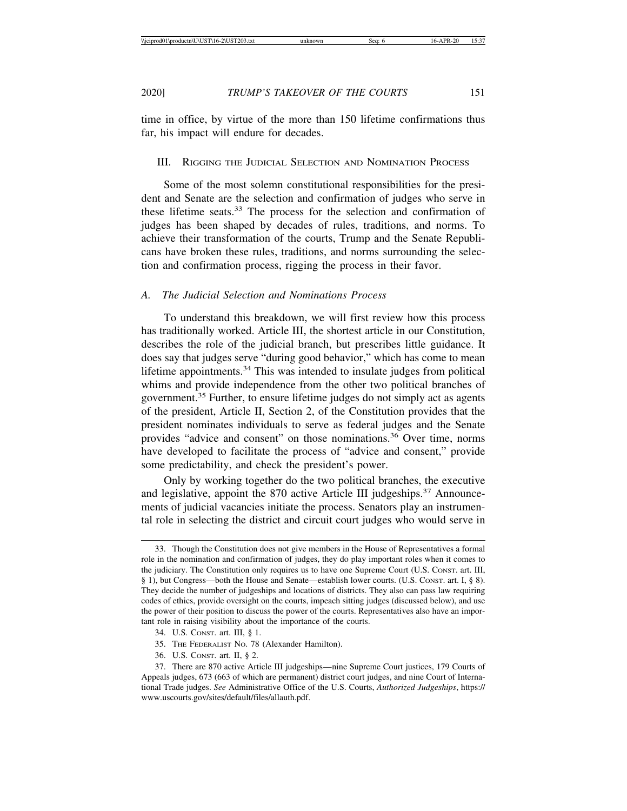time in office, by virtue of the more than 150 lifetime confirmations thus far, his impact will endure for decades.

## III. RIGGING THE JUDICIAL SELECTION AND NOMINATION PROCESS

Some of the most solemn constitutional responsibilities for the president and Senate are the selection and confirmation of judges who serve in these lifetime seats.<sup>33</sup> The process for the selection and confirmation of judges has been shaped by decades of rules, traditions, and norms. To achieve their transformation of the courts, Trump and the Senate Republicans have broken these rules, traditions, and norms surrounding the selection and confirmation process, rigging the process in their favor.

## *A. The Judicial Selection and Nominations Process*

To understand this breakdown, we will first review how this process has traditionally worked. Article III, the shortest article in our Constitution, describes the role of the judicial branch, but prescribes little guidance. It does say that judges serve "during good behavior," which has come to mean lifetime appointments.<sup>34</sup> This was intended to insulate judges from political whims and provide independence from the other two political branches of government.<sup>35</sup> Further, to ensure lifetime judges do not simply act as agents of the president, Article II, Section 2, of the Constitution provides that the president nominates individuals to serve as federal judges and the Senate provides "advice and consent" on those nominations.36 Over time, norms have developed to facilitate the process of "advice and consent," provide some predictability, and check the president's power.

Only by working together do the two political branches, the executive and legislative, appoint the 870 active Article III judgeships.<sup>37</sup> Announcements of judicial vacancies initiate the process. Senators play an instrumental role in selecting the district and circuit court judges who would serve in

- 35. THE FEDERALIST NO. 78 (Alexander Hamilton).
- 36. U.S. CONST. art. II, § 2.

<sup>33.</sup> Though the Constitution does not give members in the House of Representatives a formal role in the nomination and confirmation of judges, they do play important roles when it comes to the judiciary. The Constitution only requires us to have one Supreme Court (U.S. CONST. art. III, § 1), but Congress—both the House and Senate—establish lower courts. (U.S. CONST. art. I, § 8). They decide the number of judgeships and locations of districts. They also can pass law requiring codes of ethics, provide oversight on the courts, impeach sitting judges (discussed below), and use the power of their position to discuss the power of the courts. Representatives also have an important role in raising visibility about the importance of the courts.

<sup>34.</sup> U.S. CONST. art. III, § 1.

<sup>37.</sup> There are 870 active Article III judgeships—nine Supreme Court justices, 179 Courts of Appeals judges, 673 (663 of which are permanent) district court judges, and nine Court of International Trade judges. *See* Administrative Office of the U.S. Courts, *Authorized Judgeships*, https:// www.uscourts.gov/sites/default/files/allauth.pdf.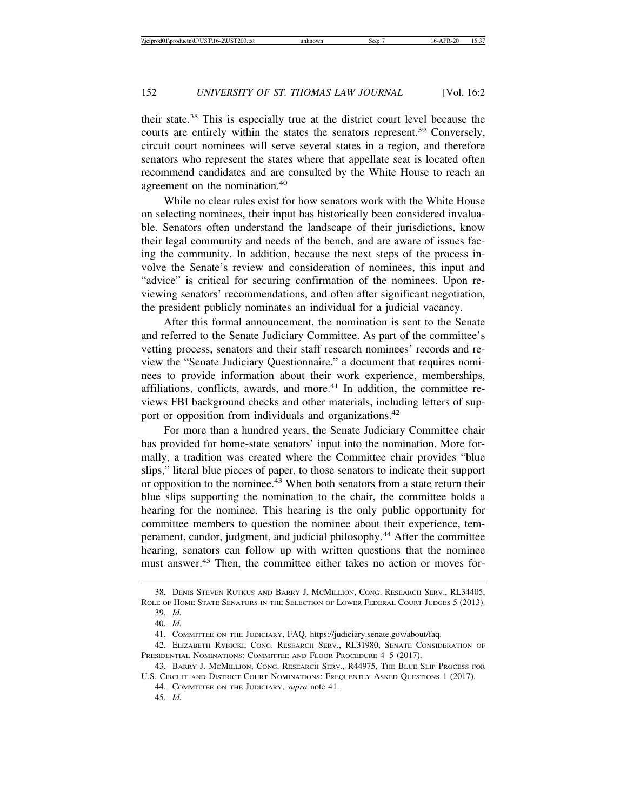their state.38 This is especially true at the district court level because the courts are entirely within the states the senators represent.<sup>39</sup> Conversely, circuit court nominees will serve several states in a region, and therefore senators who represent the states where that appellate seat is located often recommend candidates and are consulted by the White House to reach an agreement on the nomination.<sup>40</sup>

While no clear rules exist for how senators work with the White House on selecting nominees, their input has historically been considered invaluable. Senators often understand the landscape of their jurisdictions, know their legal community and needs of the bench, and are aware of issues facing the community. In addition, because the next steps of the process involve the Senate's review and consideration of nominees, this input and "advice" is critical for securing confirmation of the nominees. Upon reviewing senators' recommendations, and often after significant negotiation, the president publicly nominates an individual for a judicial vacancy.

After this formal announcement, the nomination is sent to the Senate and referred to the Senate Judiciary Committee. As part of the committee's vetting process, senators and their staff research nominees' records and review the "Senate Judiciary Questionnaire," a document that requires nominees to provide information about their work experience, memberships, affiliations, conflicts, awards, and more. $41$  In addition, the committee reviews FBI background checks and other materials, including letters of support or opposition from individuals and organizations.<sup>42</sup>

For more than a hundred years, the Senate Judiciary Committee chair has provided for home-state senators' input into the nomination. More formally, a tradition was created where the Committee chair provides "blue slips," literal blue pieces of paper, to those senators to indicate their support or opposition to the nominee. $43$  When both senators from a state return their blue slips supporting the nomination to the chair, the committee holds a hearing for the nominee. This hearing is the only public opportunity for committee members to question the nominee about their experience, temperament, candor, judgment, and judicial philosophy.44 After the committee hearing, senators can follow up with written questions that the nominee must answer.<sup>45</sup> Then, the committee either takes no action or moves for-

<sup>38.</sup> DENIS STEVEN RUTKUS AND BARRY J. MCMILLION, CONG. RESEARCH SERV., RL34405, ROLE OF HOME STATE SENATORS IN THE SELECTION OF LOWER FEDERAL COURT JUDGES 5 (2013).

<sup>39.</sup> *Id.*

<sup>40.</sup> *Id.*

<sup>41.</sup> COMMITTEE ON THE JUDICIARY, FAQ, https://judiciary.senate.gov/about/faq.

<sup>42.</sup> ELIZABETH RYBICKI, CONG. RESEARCH SERV., RL31980, SENATE CONSIDERATION OF PRESIDENTIAL NOMINATIONS: COMMITTEE AND FLOOR PROCEDURE 4–5 (2017).

<sup>43.</sup> BARRY J. MCMILLION, CONG. RESEARCH SERV., R44975, THE BLUE SLIP PROCESS FOR U.S. CIRCUIT AND DISTRICT COURT NOMINATIONS: FREQUENTLY ASKED QUESTIONS 1 (2017).

<sup>44.</sup> COMMITTEE ON THE JUDICIARY, *supra* note 41.

<sup>45.</sup> *Id.*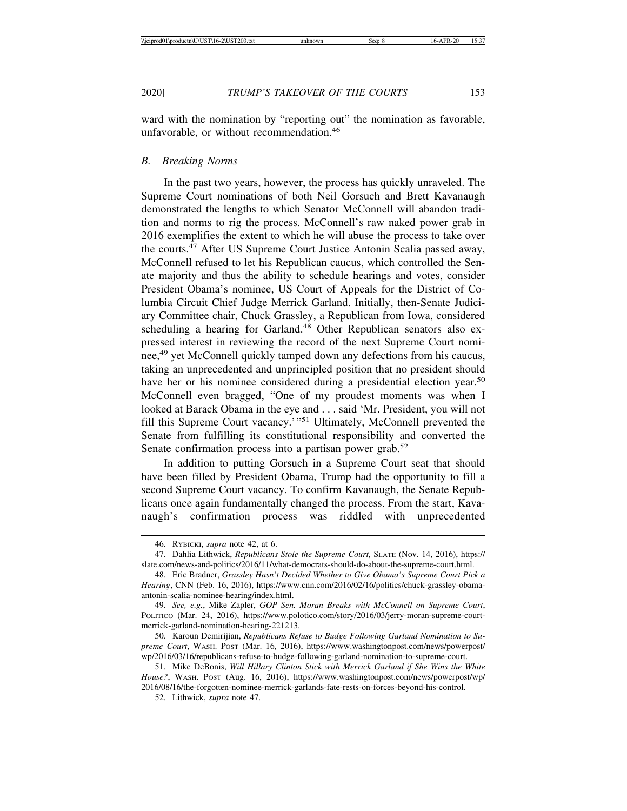ward with the nomination by "reporting out" the nomination as favorable, unfavorable, or without recommendation.<sup>46</sup>

#### *B. Breaking Norms*

In the past two years, however, the process has quickly unraveled. The Supreme Court nominations of both Neil Gorsuch and Brett Kavanaugh demonstrated the lengths to which Senator McConnell will abandon tradition and norms to rig the process. McConnell's raw naked power grab in 2016 exemplifies the extent to which he will abuse the process to take over the courts. $47$  After US Supreme Court Justice Antonin Scalia passed away, McConnell refused to let his Republican caucus, which controlled the Senate majority and thus the ability to schedule hearings and votes, consider President Obama's nominee, US Court of Appeals for the District of Columbia Circuit Chief Judge Merrick Garland. Initially, then-Senate Judiciary Committee chair, Chuck Grassley, a Republican from Iowa, considered scheduling a hearing for Garland.<sup>48</sup> Other Republican senators also expressed interest in reviewing the record of the next Supreme Court nominee,<sup>49</sup> yet McConnell quickly tamped down any defections from his caucus, taking an unprecedented and unprincipled position that no president should have her or his nominee considered during a presidential election year.<sup>50</sup> McConnell even bragged, "One of my proudest moments was when I looked at Barack Obama in the eye and . . . said 'Mr. President, you will not fill this Supreme Court vacancy.'"51 Ultimately, McConnell prevented the Senate from fulfilling its constitutional responsibility and converted the Senate confirmation process into a partisan power grab.<sup>52</sup>

In addition to putting Gorsuch in a Supreme Court seat that should have been filled by President Obama, Trump had the opportunity to fill a second Supreme Court vacancy. To confirm Kavanaugh, the Senate Republicans once again fundamentally changed the process. From the start, Kavanaugh's confirmation process was riddled with unprecedented

<sup>46.</sup> RYBICKI, *supra* note 42, at 6.

<sup>47.</sup> Dahlia Lithwick, *Republicans Stole the Supreme Court*, SLATE (Nov. 14, 2016), https:// slate.com/news-and-politics/2016/11/what-democrats-should-do-about-the-supreme-court.html.

<sup>48.</sup> Eric Bradner, *Grassley Hasn't Decided Whether to Give Obama's Supreme Court Pick a Hearing*, CNN (Feb. 16, 2016), https://www.cnn.com/2016/02/16/politics/chuck-grassley-obamaantonin-scalia-nominee-hearing/index.html.

<sup>49.</sup> *See, e.g.*, Mike Zapler, *GOP Sen. Moran Breaks with McConnell on Supreme Court*, POLITICO (Mar. 24, 2016), https://www.polotico.com/story/2016/03/jerry-moran-supreme-courtmerrick-garland-nomination-hearing-221213.

<sup>50.</sup> Karoun Demirijian, *Republicans Refuse to Budge Following Garland Nomination to Supreme Court*, WASH. POST (Mar. 16, 2016), https://www.washingtonpost.com/news/powerpost/ wp/2016/03/16/republicans-refuse-to-budge-following-garland-nomination-to-supreme-court.

<sup>51.</sup> Mike DeBonis, *Will Hillary Clinton Stick with Merrick Garland if She Wins the White House?*, WASH. POST (Aug. 16, 2016), https://www.washingtonpost.com/news/powerpost/wp/ 2016/08/16/the-forgotten-nominee-merrick-garlands-fate-rests-on-forces-beyond-his-control.

<sup>52.</sup> Lithwick, *supra* note 47.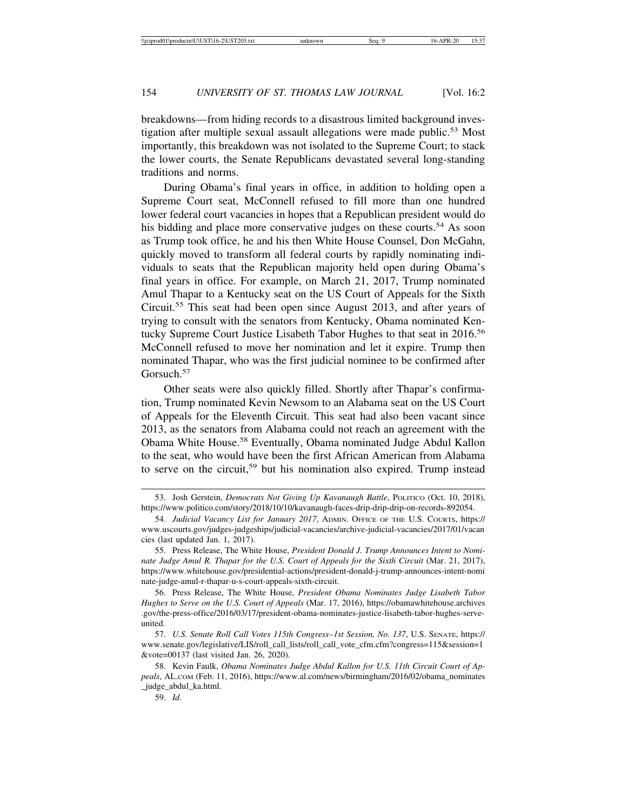breakdowns—from hiding records to a disastrous limited background investigation after multiple sexual assault allegations were made public.<sup>53</sup> Most importantly, this breakdown was not isolated to the Supreme Court; to stack the lower courts, the Senate Republicans devastated several long-standing traditions and norms.

During Obama's final years in office, in addition to holding open a Supreme Court seat, McConnell refused to fill more than one hundred lower federal court vacancies in hopes that a Republican president would do his bidding and place more conservative judges on these courts.<sup>54</sup> As soon as Trump took office, he and his then White House Counsel, Don McGahn, quickly moved to transform all federal courts by rapidly nominating individuals to seats that the Republican majority held open during Obama's final years in office. For example, on March 21, 2017, Trump nominated Amul Thapar to a Kentucky seat on the US Court of Appeals for the Sixth Circuit.55 This seat had been open since August 2013, and after years of trying to consult with the senators from Kentucky, Obama nominated Kentucky Supreme Court Justice Lisabeth Tabor Hughes to that seat in 2016.<sup>56</sup> McConnell refused to move her nomination and let it expire. Trump then nominated Thapar, who was the first judicial nominee to be confirmed after Gorsuch.<sup>57</sup>

Other seats were also quickly filled. Shortly after Thapar's confirmation, Trump nominated Kevin Newsom to an Alabama seat on the US Court of Appeals for the Eleventh Circuit. This seat had also been vacant since 2013, as the senators from Alabama could not reach an agreement with the Obama White House.58 Eventually, Obama nominated Judge Abdul Kallon to the seat, who would have been the first African American from Alabama to serve on the circuit,<sup>59</sup> but his nomination also expired. Trump instead

56. Press Release, The White House, *President Obama Nominates Judge Lisabeth Tabor Hughes to Serve on the U.S. Court of Appeals* (Mar. 17, 2016), https://obamawhitehouse.archives .gov/the-press-office/2016/03/17/president-obama-nominates-justice-lisabeth-tabor-hughes-serveunited.

59. *Id.*

<sup>53.</sup> Josh Gerstein, *Democrats Not Giving Up Kavanaugh Battle*, POLITICO (Oct. 10, 2018), https://www.politico.com/story/2018/10/10/kavanaugh-faces-drip-drip-drip-on-records-892054.

<sup>54.</sup> *Judicial Vacancy List for January 2017*, ADMIN. OFFICE OF THE U.S. COURTS, https:// www.uscourts.gov/judges-judgeships/judicial-vacancies/archive-judicial-vacancies/2017/01/vacan cies (last updated Jan. 1, 2017).

<sup>55.</sup> Press Release, The White House, *President Donald J. Trump Announces Intent to Nomi*nate Judge Amul R. Thapar for the U.S. Court of Appeals for the Sixth Circuit (Mar. 21, 2017), https://www.whitehouse.gov/presidential-actions/president-donald-j-trump-announces-intent-nomi nate-judge-amul-r-thapar-u-s-court-appeals-sixth-circuit.

<sup>57.</sup> *U.S. Senate Roll Call Votes 115th Congress–1st Session, No. 137*, U.S. SENATE, https:// www.senate.gov/legislative/LIS/roll\_call\_lists/roll\_call\_vote\_cfm.cfm?congress=115&session=1 &vote=00137 (last visited Jan. 26, 2020).

<sup>58.</sup> Kevin Faulk, *Obama Nominates Judge Abdul Kallon for U.S. 11th Circuit Court of Appeals*, AL.COM (Feb. 11, 2016), https://www.al.com/news/birmingham/2016/02/obama\_nominates \_judge\_abdul\_ka.html.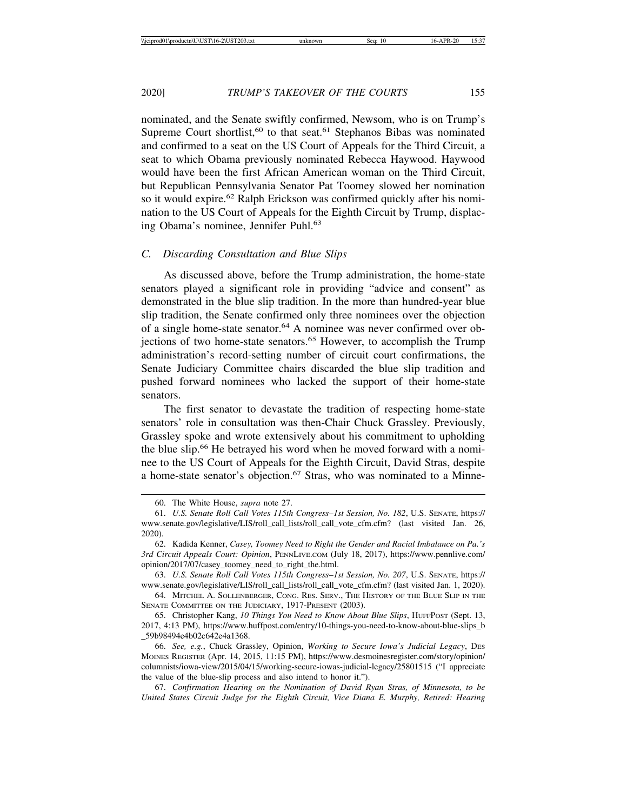nominated, and the Senate swiftly confirmed, Newsom, who is on Trump's Supreme Court shortlist,<sup>60</sup> to that seat.<sup>61</sup> Stephanos Bibas was nominated and confirmed to a seat on the US Court of Appeals for the Third Circuit, a seat to which Obama previously nominated Rebecca Haywood. Haywood would have been the first African American woman on the Third Circuit, but Republican Pennsylvania Senator Pat Toomey slowed her nomination so it would expire.<sup>62</sup> Ralph Erickson was confirmed quickly after his nomination to the US Court of Appeals for the Eighth Circuit by Trump, displacing Obama's nominee, Jennifer Puhl.<sup>63</sup>

## *C. Discarding Consultation and Blue Slips*

As discussed above, before the Trump administration, the home-state senators played a significant role in providing "advice and consent" as demonstrated in the blue slip tradition. In the more than hundred-year blue slip tradition, the Senate confirmed only three nominees over the objection of a single home-state senator.<sup>64</sup> A nominee was never confirmed over objections of two home-state senators.<sup>65</sup> However, to accomplish the Trump administration's record-setting number of circuit court confirmations, the Senate Judiciary Committee chairs discarded the blue slip tradition and pushed forward nominees who lacked the support of their home-state senators.

The first senator to devastate the tradition of respecting home-state senators' role in consultation was then-Chair Chuck Grassley. Previously, Grassley spoke and wrote extensively about his commitment to upholding the blue slip.66 He betrayed his word when he moved forward with a nominee to the US Court of Appeals for the Eighth Circuit, David Stras, despite a home-state senator's objection.67 Stras, who was nominated to a Minne-

<sup>60.</sup> The White House, *supra* note 27.

<sup>61.</sup> *U.S. Senate Roll Call Votes 115th Congress–1st Session, No. 182*, U.S. SENATE, https:// www.senate.gov/legislative/LIS/roll\_call\_lists/roll\_call\_vote\_cfm.cfm? (last\_visited Jan. 26, 2020).

<sup>62.</sup> Kadida Kenner, *Casey, Toomey Need to Right the Gender and Racial Imbalance on Pa.'s 3rd Circuit Appeals Court: Opinion*, PENNLIVE.COM (July 18, 2017), https://www.pennlive.com/ opinion/2017/07/casey\_toomey\_need\_to\_right\_the.html.

<sup>63.</sup> *U.S. Senate Roll Call Votes 115th Congress–1st Session, No. 207*, U.S. SENATE, https:// www.senate.gov/legislative/LIS/roll\_call\_lists/roll\_call\_vote\_cfm.cfm? (last visited Jan. 1, 2020).

<sup>64.</sup> MITCHEL A. SOLLENBERGER, CONG. RES. SERV., THE HISTORY OF THE BLUE SLIP IN THE SENATE COMMITTEE ON THE JUDICIARY, 1917-PRESENT (2003).

<sup>65.</sup> Christopher Kang, *10 Things You Need to Know About Blue Slips*, HUFFPOST (Sept. 13, 2017, 4:13 PM), https://www.huffpost.com/entry/10-things-you-need-to-know-about-blue-slips\_b \_59b98494e4b02c642e4a1368.

<sup>66.</sup> *See, e.g.*, Chuck Grassley, Opinion, *Working to Secure Iowa's Judicial Legacy*, DES MOINES REGISTER (Apr. 14, 2015, 11:15 PM), https://www.desmoinesregister.com/story/opinion/ columnists/iowa-view/2015/04/15/working-secure-iowas-judicial-legacy/25801515 ("I appreciate the value of the blue-slip process and also intend to honor it.").

<sup>67.</sup> *Confirmation Hearing on the Nomination of David Ryan Stras, of Minnesota, to be United States Circuit Judge for the Eighth Circuit, Vice Diana E. Murphy, Retired: Hearing*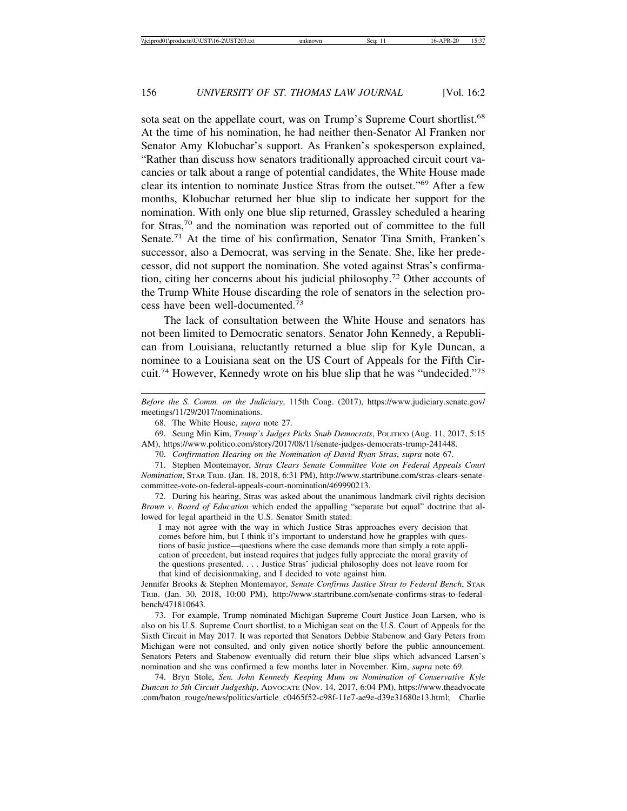sota seat on the appellate court, was on Trump's Supreme Court shortlist.<sup>68</sup> At the time of his nomination, he had neither then-Senator Al Franken nor Senator Amy Klobuchar's support. As Franken's spokesperson explained, "Rather than discuss how senators traditionally approached circuit court vacancies or talk about a range of potential candidates, the White House made clear its intention to nominate Justice Stras from the outset."69 After a few months, Klobuchar returned her blue slip to indicate her support for the nomination. With only one blue slip returned, Grassley scheduled a hearing for Stras,70 and the nomination was reported out of committee to the full Senate.71 At the time of his confirmation, Senator Tina Smith, Franken's successor, also a Democrat, was serving in the Senate. She, like her predecessor, did not support the nomination. She voted against Stras's confirmation, citing her concerns about his judicial philosophy.72 Other accounts of the Trump White House discarding the role of senators in the selection process have been well-documented.<sup>73</sup>

The lack of consultation between the White House and senators has not been limited to Democratic senators. Senator John Kennedy, a Republican from Louisiana, reluctantly returned a blue slip for Kyle Duncan, a nominee to a Louisiana seat on the US Court of Appeals for the Fifth Circuit.74 However, Kennedy wrote on his blue slip that he was "undecided."75

68. The White House, *supra* note 27.

69. Seung Min Kim, *Trump's Judges Picks Snub Democrats*, POLITICO (Aug. 11, 2017, 5:15 AM), https://www.politico.com/story/2017/08/11/senate-judges-democrats-trump-241448.

70. *Confirmation Hearing on the Nomination of David Ryan Stras*, *supra* note 67.

71. Stephen Montemayor, *Stras Clears Senate Committee Vote on Federal Appeals Court Nomination*, STAR TRIB. (Jan. 18, 2018, 6:31 PM), http://www.startribune.com/stras-clears-senatecommittee-vote-on-federal-appeals-court-nomination/469990213.

72. During his hearing, Stras was asked about the unanimous landmark civil rights decision *Brown v. Board of Education* which ended the appalling "separate but equal" doctrine that allowed for legal apartheid in the U.S. Senator Smith stated:

I may not agree with the way in which Justice Stras approaches every decision that comes before him, but I think it's important to understand how he grapples with questions of basic justice—questions where the case demands more than simply a rote application of precedent, but instead requires that judges fully appreciate the moral gravity of the questions presented. . . . Justice Stras' judicial philosophy does not leave room for that kind of decisionmaking, and I decided to vote against him.

Jennifer Brooks & Stephen Montemayor, *Senate Confirms Justice Stras to Federal Bench*, STAR TRIB. (Jan. 30, 2018, 10:00 PM), http://www.startribune.com/senate-confirms-stras-to-federalbench/471810643.

73. For example, Trump nominated Michigan Supreme Court Justice Joan Larsen, who is also on his U.S. Supreme Court shortlist, to a Michigan seat on the U.S. Court of Appeals for the Sixth Circuit in May 2017. It was reported that Senators Debbie Stabenow and Gary Peters from Michigan were not consulted, and only given notice shortly before the public announcement. Senators Peters and Stabenow eventually did return their blue slips which advanced Larsen's nomination and she was confirmed a few months later in November. Kim, *supra* note 69.

74. Bryn Stole, *Sen. John Kennedy Keeping Mum on Nomination of Conservative Kyle Duncan to 5th Circuit Judgeship*, ADVOCATE (Nov. 14, 2017, 6:04 PM), https://www.theadvocate .com/baton\_rouge/news/politics/article\_c0465f52-c98f-11e7-ae9e-d39e31680e13.html; Charlie

*Before the S. Comm. on the Judiciary*, 115th Cong. (2017), https://www.judiciary.senate.gov/ meetings/11/29/2017/nominations.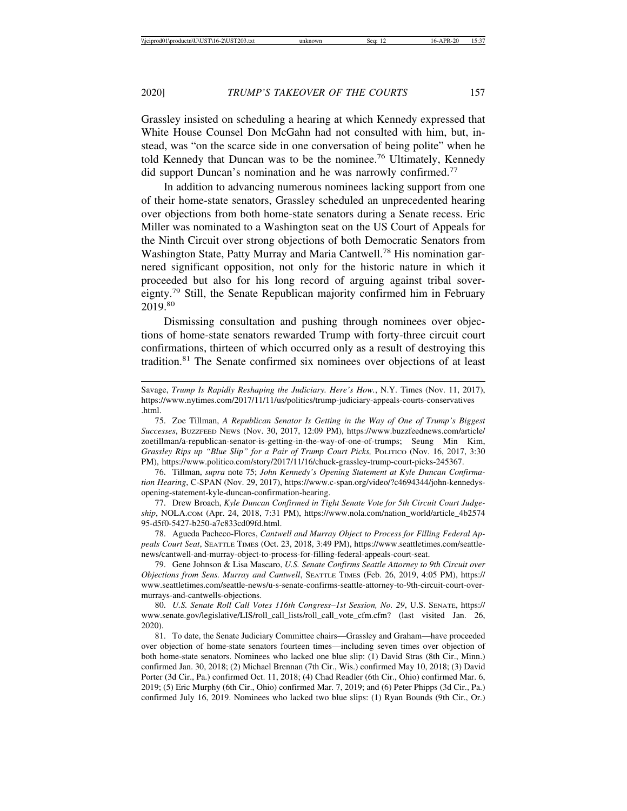Grassley insisted on scheduling a hearing at which Kennedy expressed that White House Counsel Don McGahn had not consulted with him, but, instead, was "on the scarce side in one conversation of being polite" when he told Kennedy that Duncan was to be the nominee.76 Ultimately, Kennedy did support Duncan's nomination and he was narrowly confirmed.<sup>77</sup>

In addition to advancing numerous nominees lacking support from one of their home-state senators, Grassley scheduled an unprecedented hearing over objections from both home-state senators during a Senate recess. Eric Miller was nominated to a Washington seat on the US Court of Appeals for the Ninth Circuit over strong objections of both Democratic Senators from Washington State, Patty Murray and Maria Cantwell.78 His nomination garnered significant opposition, not only for the historic nature in which it proceeded but also for his long record of arguing against tribal sovereignty.79 Still, the Senate Republican majority confirmed him in February 2019.<sup>80</sup>

Dismissing consultation and pushing through nominees over objections of home-state senators rewarded Trump with forty-three circuit court confirmations, thirteen of which occurred only as a result of destroying this tradition.<sup>81</sup> The Senate confirmed six nominees over objections of at least

75. Zoe Tillman, *A Republican Senator Is Getting in the Way of One of Trump's Biggest Successes*, BUZZFEED NEWS (Nov. 30, 2017, 12:09 PM), https://www.buzzfeednews.com/article/ zoetillman/a-republican-senator-is-getting-in-the-way-of-one-of-trumps; Seung Min Kim, *Grassley Rips up "Blue Slip" for a Pair of Trump Court Picks,* POLITICO (Nov. 16, 2017, 3:30 PM), https://www.politico.com/story/2017/11/16/chuck-grassley-trump-court-picks-245367.

76. Tillman, *supra* note 75; *John Kennedy's Opening Statement at Kyle Duncan Confirmation Hearing*, C-SPAN (Nov. 29, 2017), https://www.c-span.org/video/?c4694344/john-kennedysopening-statement-kyle-duncan-confirmation-hearing.

77. Drew Broach, *Kyle Duncan Confirmed in Tight Senate Vote for 5th Circuit Court Judgeship*, NOLA.COM (Apr. 24, 2018, 7:31 PM), https://www.nola.com/nation\_world/article\_4b2574 95-d5f0-5427-b250-a7c833cd09fd.html.

78. Agueda Pacheco-Flores, *Cantwell and Murray Object to Process for Filling Federal Appeals Court Seat*, SEATTLE TIMES (Oct. 23, 2018, 3:49 PM), https://www.seattletimes.com/seattlenews/cantwell-and-murray-object-to-process-for-filling-federal-appeals-court-seat.

79. Gene Johnson & Lisa Mascaro, *U.S. Senate Confirms Seattle Attorney to 9th Circuit over Objections from Sens. Murray and Cantwell*, SEATTLE TIMES (Feb. 26, 2019, 4:05 PM), https:// www.seattletimes.com/seattle-news/u-s-senate-confirms-seattle-attorney-to-9th-circuit-court-overmurrays-and-cantwells-objections.

80. *U.S. Senate Roll Call Votes 116th Congress–1st Session, No. 29*, U.S. SENATE, https:// www.senate.gov/legislative/LIS/roll\_call\_lists/roll\_call\_vote\_cfm.cfm? (last\_visited Jan. 26, 2020).

81. To date, the Senate Judiciary Committee chairs—Grassley and Graham—have proceeded over objection of home-state senators fourteen times—including seven times over objection of both home-state senators. Nominees who lacked one blue slip: (1) David Stras (8th Cir., Minn.) confirmed Jan. 30, 2018; (2) Michael Brennan (7th Cir., Wis.) confirmed May 10, 2018; (3) David Porter (3d Cir., Pa.) confirmed Oct. 11, 2018; (4) Chad Readler (6th Cir., Ohio) confirmed Mar. 6, 2019; (5) Eric Murphy (6th Cir., Ohio) confirmed Mar. 7, 2019; and (6) Peter Phipps (3d Cir., Pa.) confirmed July 16, 2019. Nominees who lacked two blue slips: (1) Ryan Bounds (9th Cir., Or.)

Savage, *Trump Is Rapidly Reshaping the Judiciary. Here's How.*, N.Y. Times (Nov. 11, 2017), https://www.nytimes.com/2017/11/11/us/politics/trump-judiciary-appeals-courts-conservatives .html.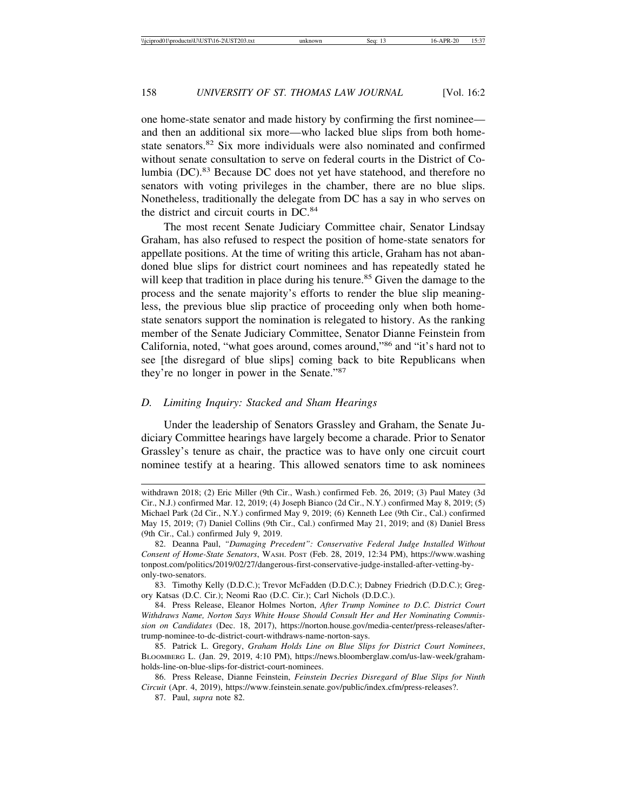one home-state senator and made history by confirming the first nominee and then an additional six more—who lacked blue slips from both homestate senators.<sup>82</sup> Six more individuals were also nominated and confirmed without senate consultation to serve on federal courts in the District of Columbia (DC).83 Because DC does not yet have statehood, and therefore no senators with voting privileges in the chamber, there are no blue slips. Nonetheless, traditionally the delegate from DC has a say in who serves on the district and circuit courts in DC.<sup>84</sup>

The most recent Senate Judiciary Committee chair, Senator Lindsay Graham, has also refused to respect the position of home-state senators for appellate positions. At the time of writing this article, Graham has not abandoned blue slips for district court nominees and has repeatedly stated he will keep that tradition in place during his tenure.<sup>85</sup> Given the damage to the process and the senate majority's efforts to render the blue slip meaningless, the previous blue slip practice of proceeding only when both homestate senators support the nomination is relegated to history. As the ranking member of the Senate Judiciary Committee, Senator Dianne Feinstein from California, noted, "what goes around, comes around,"86 and "it's hard not to see [the disregard of blue slips] coming back to bite Republicans when they're no longer in power in the Senate."<sup>87</sup>

## *D. Limiting Inquiry: Stacked and Sham Hearings*

Under the leadership of Senators Grassley and Graham, the Senate Judiciary Committee hearings have largely become a charade. Prior to Senator Grassley's tenure as chair, the practice was to have only one circuit court nominee testify at a hearing. This allowed senators time to ask nominees

withdrawn 2018; (2) Eric Miller (9th Cir., Wash.) confirmed Feb. 26, 2019; (3) Paul Matey (3d Cir., N.J.) confirmed Mar. 12, 2019; (4) Joseph Bianco (2d Cir., N.Y.) confirmed May 8, 2019; (5) Michael Park (2d Cir., N.Y.) confirmed May 9, 2019; (6) Kenneth Lee (9th Cir., Cal.) confirmed May 15, 2019; (7) Daniel Collins (9th Cir., Cal.) confirmed May 21, 2019; and (8) Daniel Bress (9th Cir., Cal.) confirmed July 9, 2019.

<sup>82.</sup> Deanna Paul, *"Damaging Precedent": Conservative Federal Judge Installed Without Consent of Home-State Senators*, WASH. POST (Feb. 28, 2019, 12:34 PM), https://www.washing tonpost.com/politics/2019/02/27/dangerous-first-conservative-judge-installed-after-vetting-byonly-two-senators.

<sup>83.</sup> Timothy Kelly (D.D.C.); Trevor McFadden (D.D.C.); Dabney Friedrich (D.D.C.); Gregory Katsas (D.C. Cir.); Neomi Rao (D.C. Cir.); Carl Nichols (D.D.C.).

<sup>84.</sup> Press Release, Eleanor Holmes Norton, *After Trump Nominee to D.C. District Court Withdraws Name, Norton Says White House Should Consult Her and Her Nominating Commission on Candidates* (Dec. 18, 2017), https://norton.house.gov/media-center/press-releases/aftertrump-nominee-to-dc-district-court-withdraws-name-norton-says.

<sup>85.</sup> Patrick L. Gregory, *Graham Holds Line on Blue Slips for District Court Nominees*, BLOOMBERG L. (Jan. 29, 2019, 4:10 PM), https://news.bloomberglaw.com/us-law-week/grahamholds-line-on-blue-slips-for-district-court-nominees.

<sup>86.</sup> Press Release, Dianne Feinstein, *Feinstein Decries Disregard of Blue Slips for Ninth Circuit* (Apr. 4, 2019), https://www.feinstein.senate.gov/public/index.cfm/press-releases?.

<sup>87.</sup> Paul, *supra* note 82.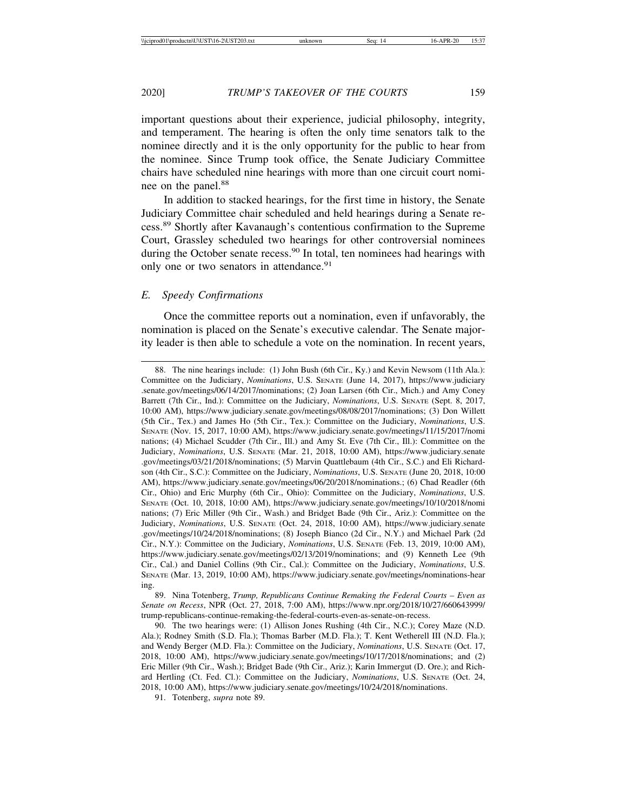important questions about their experience, judicial philosophy, integrity, and temperament. The hearing is often the only time senators talk to the nominee directly and it is the only opportunity for the public to hear from the nominee. Since Trump took office, the Senate Judiciary Committee chairs have scheduled nine hearings with more than one circuit court nominee on the panel.<sup>88</sup>

In addition to stacked hearings, for the first time in history, the Senate Judiciary Committee chair scheduled and held hearings during a Senate recess.89 Shortly after Kavanaugh's contentious confirmation to the Supreme Court, Grassley scheduled two hearings for other controversial nominees during the October senate recess.<sup>90</sup> In total, ten nominees had hearings with only one or two senators in attendance.<sup>91</sup>

#### *E. Speedy Confirmations*

Once the committee reports out a nomination, even if unfavorably, the nomination is placed on the Senate's executive calendar. The Senate majority leader is then able to schedule a vote on the nomination. In recent years,

89. Nina Totenberg, *Trump, Republicans Continue Remaking the Federal Courts – Even as Senate on Recess*, NPR (Oct. 27, 2018, 7:00 AM), https://www.npr.org/2018/10/27/660643999/ trump-republicans-continue-remaking-the-federal-courts-even-as-senate-on-recess.

<sup>88.</sup> The nine hearings include: (1) John Bush (6th Cir., Ky.) and Kevin Newsom (11th Ala.): Committee on the Judiciary, *Nominations*, U.S. SENATE (June 14, 2017), https://www.judiciary .senate.gov/meetings/06/14/2017/nominations; (2) Joan Larsen (6th Cir., Mich.) and Amy Coney Barrett (7th Cir., Ind.): Committee on the Judiciary, *Nominations*, U.S. SENATE (Sept. 8, 2017, 10:00 AM), https://www.judiciary.senate.gov/meetings/08/08/2017/nominations; (3) Don Willett (5th Cir., Tex.) and James Ho (5th Cir., Tex.): Committee on the Judiciary, *Nominations*, U.S. SENATE (Nov. 15, 2017, 10:00 AM), https://www.judiciary.senate.gov/meetings/11/15/2017/nomi nations; (4) Michael Scudder (7th Cir., Ill.) and Amy St. Eve (7th Cir., Ill.): Committee on the Judiciary, *Nominations*, U.S. SENATE (Mar. 21, 2018, 10:00 AM), https://www.judiciary.senate .gov/meetings/03/21/2018/nominations; (5) Marvin Quattlebaum (4th Cir., S.C.) and Eli Richardson (4th Cir., S.C.): Committee on the Judiciary, *Nominations*, U.S. SENATE (June 20, 2018, 10:00 AM), https://www.judiciary.senate.gov/meetings/06/20/2018/nominations.; (6) Chad Readler (6th Cir., Ohio) and Eric Murphy (6th Cir., Ohio): Committee on the Judiciary, *Nominations*, U.S. SENATE (Oct. 10, 2018, 10:00 AM), https://www.judiciary.senate.gov/meetings/10/10/2018/nomi nations; (7) Eric Miller (9th Cir., Wash.) and Bridget Bade (9th Cir., Ariz.): Committee on the Judiciary, *Nominations*, U.S. SENATE (Oct. 24, 2018, 10:00 AM), https://www.judiciary.senate .gov/meetings/10/24/2018/nominations; (8) Joseph Bianco (2d Cir., N.Y.) and Michael Park (2d Cir., N.Y.): Committee on the Judiciary, *Nominations*, U.S. SENATE (Feb. 13, 2019, 10:00 AM), https://www.judiciary.senate.gov/meetings/02/13/2019/nominations; and (9) Kenneth Lee (9th Cir., Cal.) and Daniel Collins (9th Cir., Cal.): Committee on the Judiciary, *Nominations*, U.S. SENATE (Mar. 13, 2019, 10:00 AM), https://www.judiciary.senate.gov/meetings/nominations-hear ing.

<sup>90.</sup> The two hearings were: (1) Allison Jones Rushing (4th Cir., N.C.); Corey Maze (N.D. Ala.); Rodney Smith (S.D. Fla.); Thomas Barber (M.D. Fla.); T. Kent Wetherell III (N.D. Fla.); and Wendy Berger (M.D. Fla.): Committee on the Judiciary, *Nominations*, U.S. SENATE (Oct. 17, 2018, 10:00 AM), https://www.judiciary.senate.gov/meetings/10/17/2018/nominations; and (2) Eric Miller (9th Cir., Wash.); Bridget Bade (9th Cir., Ariz.); Karin Immergut (D. Ore.); and Richard Hertling (Ct. Fed. Cl.): Committee on the Judiciary, *Nominations*, U.S. SENATE (Oct. 24, 2018, 10:00 AM), https://www.judiciary.senate.gov/meetings/10/24/2018/nominations.

<sup>91.</sup> Totenberg, *supra* note 89.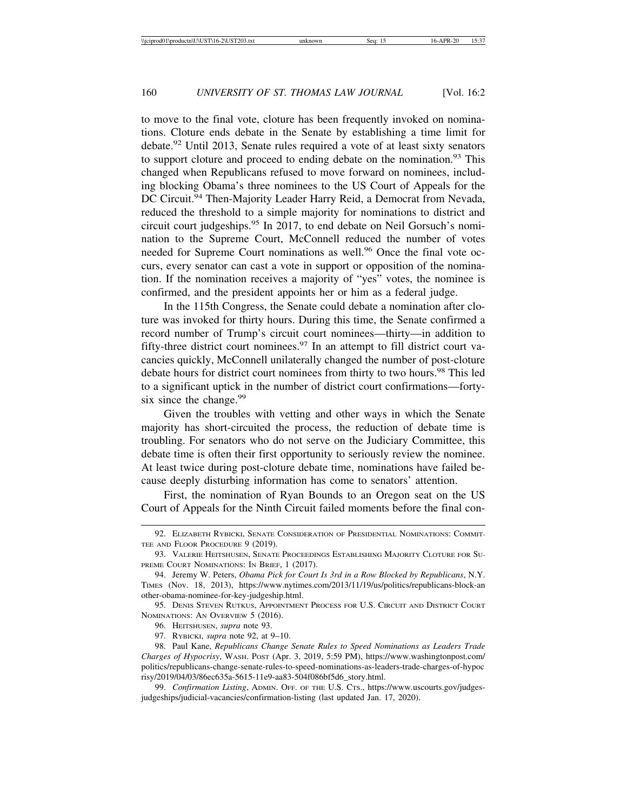to move to the final vote, cloture has been frequently invoked on nominations. Cloture ends debate in the Senate by establishing a time limit for debate.92 Until 2013, Senate rules required a vote of at least sixty senators to support cloture and proceed to ending debate on the nomination.<sup>93</sup> This changed when Republicans refused to move forward on nominees, including blocking Obama's three nominees to the US Court of Appeals for the DC Circuit.<sup>94</sup> Then-Majority Leader Harry Reid, a Democrat from Nevada, reduced the threshold to a simple majority for nominations to district and circuit court judgeships.<sup>95</sup> In 2017, to end debate on Neil Gorsuch's nomination to the Supreme Court, McConnell reduced the number of votes needed for Supreme Court nominations as well.<sup>96</sup> Once the final vote occurs, every senator can cast a vote in support or opposition of the nomination. If the nomination receives a majority of "yes" votes, the nominee is confirmed, and the president appoints her or him as a federal judge.

In the 115th Congress, the Senate could debate a nomination after cloture was invoked for thirty hours. During this time, the Senate confirmed a record number of Trump's circuit court nominees—thirty—in addition to fifty-three district court nominees.<sup>97</sup> In an attempt to fill district court vacancies quickly, McConnell unilaterally changed the number of post-cloture debate hours for district court nominees from thirty to two hours.<sup>98</sup> This led to a significant uptick in the number of district court confirmations—fortysix since the change.<sup>99</sup>

Given the troubles with vetting and other ways in which the Senate majority has short-circuited the process, the reduction of debate time is troubling. For senators who do not serve on the Judiciary Committee, this debate time is often their first opportunity to seriously review the nominee. At least twice during post-cloture debate time, nominations have failed because deeply disturbing information has come to senators' attention.

First, the nomination of Ryan Bounds to an Oregon seat on the US Court of Appeals for the Ninth Circuit failed moments before the final con-

<sup>92.</sup> ELIZABETH RYBICKI, SENATE CONSIDERATION OF PRESIDENTIAL NOMINATIONS: COMMIT-TEE AND FLOOR PROCEDURE 9 (2019).

<sup>93.</sup> VALERIE HEITSHUSEN, SENATE PROCEEDINGS ESTABLISHING MAJORITY CLOTURE FOR SU-PREME COURT NOMINATIONS: IN BRIEF, 1 (2017).

<sup>94.</sup> Jeremy W. Peters, *Obama Pick for Court Is 3rd in a Row Blocked by Republicans*, N.Y. TIMES (Nov. 18, 2013), https://www.nytimes.com/2013/11/19/us/politics/republicans-block-an other-obama-nominee-for-key-judgeship.html.

<sup>95.</sup> DENIS STEVEN RUTKUS, APPOINTMENT PROCESS FOR U.S. CIRCUIT AND DISTRICT COURT NOMINATIONS: AN OVERVIEW 5 (2016).

<sup>96.</sup> HEITSHUSEN, *supra* note 93.

<sup>97.</sup> RYBICKI, *supra* note 92, at 9–10.

<sup>98.</sup> Paul Kane, *Republicans Change Senate Rules to Speed Nominations as Leaders Trade Charges of Hypocrisy*, WASH. POST (Apr. 3, 2019, 5:59 PM), https://www.washingtonpost.com/ politics/republicans-change-senate-rules-to-speed-nominations-as-leaders-trade-charges-of-hypoc risy/2019/04/03/86ec635a-5615-11e9-aa83-504f086bf5d6\_story.html.

<sup>99.</sup> *Confirmation Listing*, ADMIN. OFF. OF THE U.S. CTS., https://www.uscourts.gov/judgesjudgeships/judicial-vacancies/confirmation-listing (last updated Jan. 17, 2020).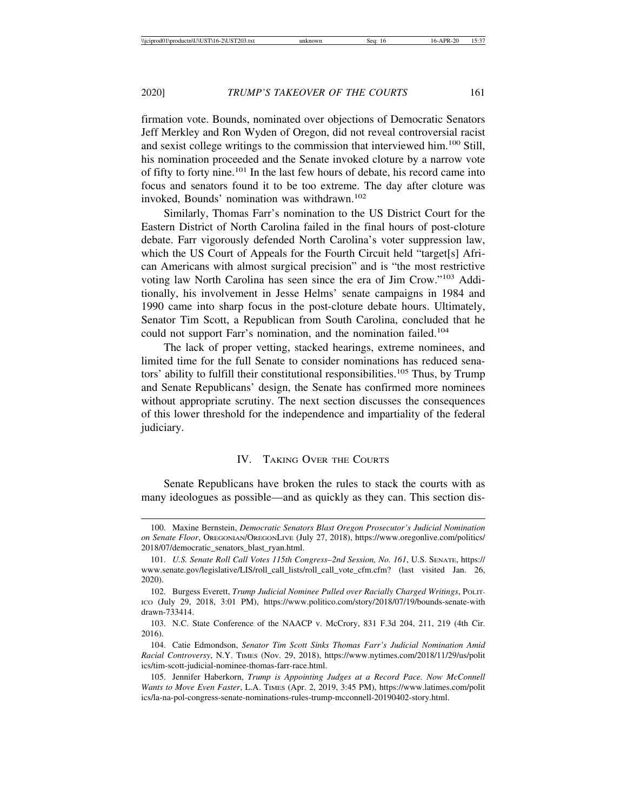firmation vote. Bounds, nominated over objections of Democratic Senators Jeff Merkley and Ron Wyden of Oregon, did not reveal controversial racist and sexist college writings to the commission that interviewed him.100 Still, his nomination proceeded and the Senate invoked cloture by a narrow vote of fifty to forty nine.101 In the last few hours of debate, his record came into focus and senators found it to be too extreme. The day after cloture was invoked, Bounds' nomination was withdrawn.<sup>102</sup>

Similarly, Thomas Farr's nomination to the US District Court for the Eastern District of North Carolina failed in the final hours of post-cloture debate. Farr vigorously defended North Carolina's voter suppression law, which the US Court of Appeals for the Fourth Circuit held "target[s] African Americans with almost surgical precision" and is "the most restrictive voting law North Carolina has seen since the era of Jim Crow."103 Additionally, his involvement in Jesse Helms' senate campaigns in 1984 and 1990 came into sharp focus in the post-cloture debate hours. Ultimately, Senator Tim Scott, a Republican from South Carolina, concluded that he could not support Farr's nomination, and the nomination failed.<sup>104</sup>

The lack of proper vetting, stacked hearings, extreme nominees, and limited time for the full Senate to consider nominations has reduced senators' ability to fulfill their constitutional responsibilities.105 Thus, by Trump and Senate Republicans' design, the Senate has confirmed more nominees without appropriate scrutiny. The next section discusses the consequences of this lower threshold for the independence and impartiality of the federal judiciary.

## IV. TAKING OVER THE COURTS

Senate Republicans have broken the rules to stack the courts with as many ideologues as possible—and as quickly as they can. This section dis-

<sup>100.</sup> Maxine Bernstein, *Democratic Senators Blast Oregon Prosecutor's Judicial Nomination on Senate Floor*, OREGONIAN/OREGONLIVE (July 27, 2018), https://www.oregonlive.com/politics/ 2018/07/democratic\_senators\_blast\_ryan.html.

<sup>101.</sup> *U.S. Senate Roll Call Votes 115th Congress–2nd Session, No. 161*, U.S. SENATE, https:// www.senate.gov/legislative/LIS/roll\_call\_lists/roll\_call\_vote\_cfm.cfm? (last visited Jan. 26, 2020).

<sup>102.</sup> Burgess Everett, *Trump Judicial Nominee Pulled over Racially Charged Writings*, POLIT-ICO (July 29, 2018, 3:01 PM), https://www.politico.com/story/2018/07/19/bounds-senate-with drawn-733414.

<sup>103.</sup> N.C. State Conference of the NAACP v. McCrory, 831 F.3d 204, 211, 219 (4th Cir. 2016).

<sup>104.</sup> Catie Edmondson, *Senator Tim Scott Sinks Thomas Farr's Judicial Nomination Amid Racial Controversy*, N.Y. TIMES (Nov. 29, 2018), https://www.nytimes.com/2018/11/29/us/polit ics/tim-scott-judicial-nominee-thomas-farr-race.html.

<sup>105.</sup> Jennifer Haberkorn, *Trump is Appointing Judges at a Record Pace. Now McConnell Wants to Move Even Faster*, L.A. TIMES (Apr. 2, 2019, 3:45 PM), https://www.latimes.com/polit ics/la-na-pol-congress-senate-nominations-rules-trump-mcconnell-20190402-story.html.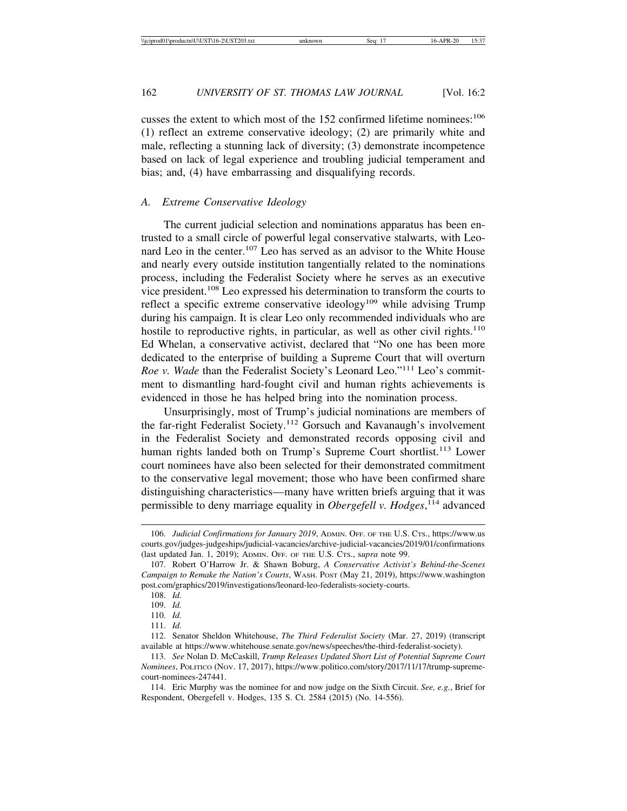cusses the extent to which most of the 152 confirmed lifetime nominees:<sup>106</sup> (1) reflect an extreme conservative ideology; (2) are primarily white and male, reflecting a stunning lack of diversity; (3) demonstrate incompetence based on lack of legal experience and troubling judicial temperament and bias; and, (4) have embarrassing and disqualifying records.

#### *A. Extreme Conservative Ideology*

The current judicial selection and nominations apparatus has been entrusted to a small circle of powerful legal conservative stalwarts, with Leonard Leo in the center.<sup>107</sup> Leo has served as an advisor to the White House and nearly every outside institution tangentially related to the nominations process, including the Federalist Society where he serves as an executive vice president.108 Leo expressed his determination to transform the courts to reflect a specific extreme conservative ideology<sup>109</sup> while advising Trump during his campaign. It is clear Leo only recommended individuals who are hostile to reproductive rights, in particular, as well as other civil rights.<sup>110</sup> Ed Whelan, a conservative activist, declared that "No one has been more dedicated to the enterprise of building a Supreme Court that will overturn *Roe v. Wade* than the Federalist Society's Leonard Leo."<sup>111</sup> Leo's commitment to dismantling hard-fought civil and human rights achievements is evidenced in those he has helped bring into the nomination process.

Unsurprisingly, most of Trump's judicial nominations are members of the far-right Federalist Society.112 Gorsuch and Kavanaugh's involvement in the Federalist Society and demonstrated records opposing civil and human rights landed both on Trump's Supreme Court shortlist.<sup>113</sup> Lower court nominees have also been selected for their demonstrated commitment to the conservative legal movement; those who have been confirmed share distinguishing characteristics—many have written briefs arguing that it was permissible to deny marriage equality in *Obergefell v. Hodges*, 114 advanced

114. Eric Murphy was the nominee for and now judge on the Sixth Circuit. *See, e.g.*, Brief for Respondent, Obergefell v. Hodges, 135 S. Ct. 2584 (2015) (No. 14-556).

<sup>106.</sup> *Judicial Confirmations for January 2019*, ADMIN. OFF. OF THE U.S. CTS., https://www.us courts.gov/judges-judgeships/judicial-vacancies/archive-judicial-vacancies/2019/01/confirmations (last updated Jan. 1, 2019); ADMIN. OFF. OF THE U.S. CTS., s*upra* note 99.

<sup>107.</sup> Robert O'Harrow Jr. & Shawn Boburg, *A Conservative Activist's Behind-the-Scenes Campaign to Remake the Nation's Courts*, WASH. POST (May 21, 2019), https://www.washington post.com/graphics/2019/investigations/leonard-leo-federalists-society-courts.

<sup>108.</sup> *Id.*

<sup>109.</sup> *Id.*

<sup>110.</sup> *Id.*

<sup>111.</sup> *Id.*

<sup>112.</sup> Senator Sheldon Whitehouse, *The Third Federalist Society* (Mar. 27, 2019) (transcript available at https://www.whitehouse.senate.gov/news/speeches/the-third-federalist-society).

<sup>113.</sup> *See* Nolan D. McCaskill, *Trump Releases Updated Short List of Potential Supreme Court Nominees*, POLITICO (NOV. 17, 2017), https://www.politico.com/story/2017/11/17/trump-supremecourt-nominees-247441.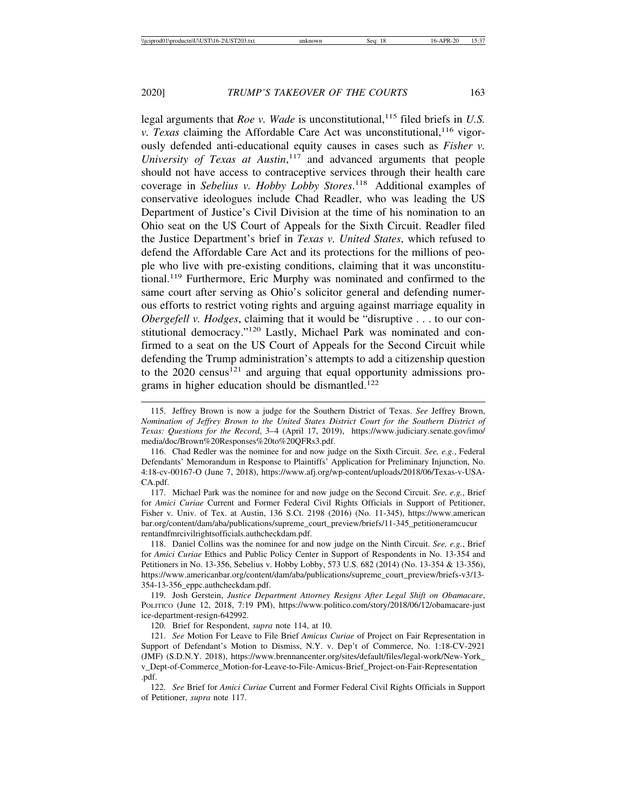legal arguments that *Roe v. Wade* is unconstitutional,<sup>115</sup> filed briefs in *U.S. v. Texas* claiming the Affordable Care Act was unconstitutional,<sup>116</sup> vigorously defended anti-educational equity causes in cases such as *Fisher v. University of Texas at Austin*, 117 and advanced arguments that people should not have access to contraceptive services through their health care coverage in *Sebelius v. Hobby Lobby Stores*. 118 Additional examples of conservative ideologues include Chad Readler, who was leading the US Department of Justice's Civil Division at the time of his nomination to an Ohio seat on the US Court of Appeals for the Sixth Circuit. Readler filed the Justice Department's brief in *Texas v. United States*, which refused to defend the Affordable Care Act and its protections for the millions of people who live with pre-existing conditions, claiming that it was unconstitutional.119 Furthermore, Eric Murphy was nominated and confirmed to the same court after serving as Ohio's solicitor general and defending numerous efforts to restrict voting rights and arguing against marriage equality in *Obergefell v. Hodges*, claiming that it would be "disruptive . . . to our constitutional democracy."120 Lastly, Michael Park was nominated and confirmed to a seat on the US Court of Appeals for the Second Circuit while defending the Trump administration's attempts to add a citizenship question to the  $2020$  census<sup>121</sup> and arguing that equal opportunity admissions programs in higher education should be dismantled.<sup>122</sup>

117. Michael Park was the nominee for and now judge on the Second Circuit. *See, e.g.*, Brief for *Amici Curiae* Current and Former Federal Civil Rights Officials in Support of Petitioner, Fisher v. Univ. of Tex. at Austin, 136 S.Ct. 2198 (2016) (No. 11-345), https://www.american bar.org/content/dam/aba/publications/supreme\_court\_preview/briefs/11-345\_petitioneramcucur rentandfmrcivilrightsofficials.authcheckdam.pdf.

118. Daniel Collins was the nominee for and now judge on the Ninth Circuit. *See, e.g.*, Brief for *Amici Curiae* Ethics and Public Policy Center in Support of Respondents in No. 13-354 and Petitioners in No. 13-356, Sebelius v. Hobby Lobby, 573 U.S. 682 (2014) (No. 13-354 & 13-356), https://www.americanbar.org/content/dam/aba/publications/supreme\_court\_preview/briefs-v3/13- 354-13-356\_eppc.authcheckdam.pdf.

119. Josh Gerstein, *Justice Department Attorney Resigns After Legal Shift on Obamacare*, POLITICO (June 12, 2018, 7:19 PM), https://www.politico.com/story/2018/06/12/obamacare-just ice-department-resign-642992.

120. Brief for Respondent, *supra* note 114, at 10.

121. *See* Motion For Leave to File Brief *Amicus Curiae* of Project on Fair Representation in Support of Defendant's Motion to Dismiss, N.Y. v. Dep't of Commerce, No. 1:18-CV-2921 (JMF) (S.D.N.Y. 2018), https://www.brennancenter.org/sites/default/files/legal-work/New-York\_ v\_Dept-of-Commerce\_Motion-for-Leave-to-File-Amicus-Brief\_Project-on-Fair-Representation .pdf.

122. *See* Brief for *Amici Curiae* Current and Former Federal Civil Rights Officials in Support of Petitioner, *supra* note 117.

<sup>115.</sup> Jeffrey Brown is now a judge for the Southern District of Texas. *See* Jeffrey Brown, *Nomination of Jeffrey Brown to the United States District Court for the Southern District of Texas: Questions for the Record*, 3–4 (April 17, 2019), https://www.judiciary.senate.gov/imo/ media/doc/Brown%20Responses%20to%20QFRs3.pdf.

<sup>116.</sup> Chad Redler was the nominee for and now judge on the Sixth Circuit. *See, e.g.*, Federal Defendants' Memorandum in Response to Plaintiffs' Application for Preliminary Injunction, No. 4:18-cv-00167-O (June 7, 2018), https://www.afj.org/wp-content/uploads/2018/06/Texas-v-USA-CA.pdf.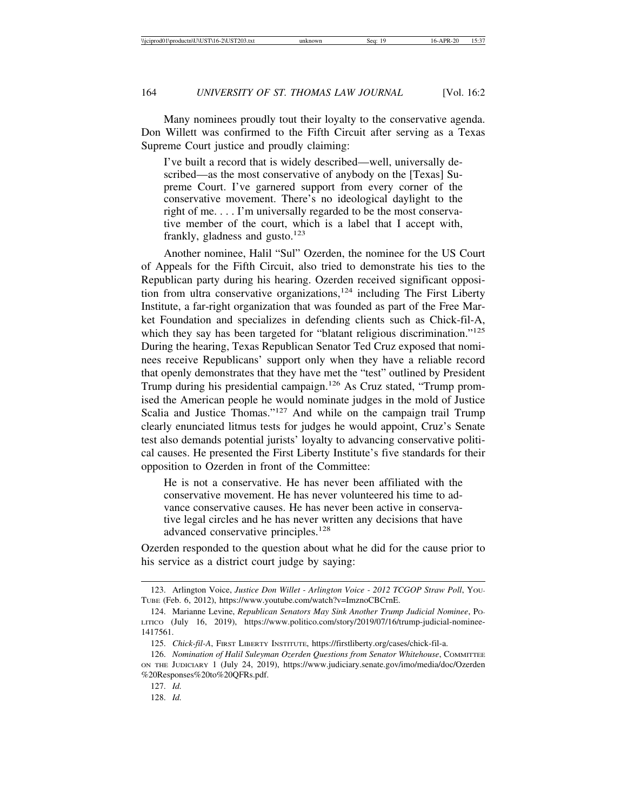Many nominees proudly tout their loyalty to the conservative agenda. Don Willett was confirmed to the Fifth Circuit after serving as a Texas Supreme Court justice and proudly claiming:

I've built a record that is widely described—well, universally described—as the most conservative of anybody on the [Texas] Supreme Court. I've garnered support from every corner of the conservative movement. There's no ideological daylight to the right of me. . . . I'm universally regarded to be the most conservative member of the court, which is a label that I accept with, frankly, gladness and gusto. $123$ 

Another nominee, Halil "Sul" Ozerden, the nominee for the US Court of Appeals for the Fifth Circuit, also tried to demonstrate his ties to the Republican party during his hearing. Ozerden received significant opposition from ultra conservative organizations,<sup>124</sup> including The First Liberty Institute, a far-right organization that was founded as part of the Free Market Foundation and specializes in defending clients such as Chick-fil-A, which they say has been targeted for "blatant religious discrimination."<sup>125</sup> During the hearing, Texas Republican Senator Ted Cruz exposed that nominees receive Republicans' support only when they have a reliable record that openly demonstrates that they have met the "test" outlined by President Trump during his presidential campaign.<sup>126</sup> As Cruz stated, "Trump promised the American people he would nominate judges in the mold of Justice Scalia and Justice Thomas."<sup>127</sup> And while on the campaign trail Trump clearly enunciated litmus tests for judges he would appoint, Cruz's Senate test also demands potential jurists' loyalty to advancing conservative political causes. He presented the First Liberty Institute's five standards for their opposition to Ozerden in front of the Committee:

He is not a conservative. He has never been affiliated with the conservative movement. He has never volunteered his time to advance conservative causes. He has never been active in conservative legal circles and he has never written any decisions that have advanced conservative principles.<sup>128</sup>

Ozerden responded to the question about what he did for the cause prior to his service as a district court judge by saying:

<sup>123.</sup> Arlington Voice, *Justice Don Willet - Arlington Voice - 2012 TCGOP Straw Poll*, YOU-TUBE (Feb. 6, 2012), https://www.youtube.com/watch?v=ImznoCBCrnE.

<sup>124.</sup> Marianne Levine, *Republican Senators May Sink Another Trump Judicial Nominee*, PO-LITICO (July 16, 2019), https://www.politico.com/story/2019/07/16/trump-judicial-nominee-1417561.

<sup>125.</sup> *Chick-fil-A*, FIRST LIBERTY INSTITUTE, https://firstliberty.org/cases/chick-fil-a.

<sup>126.</sup> *Nomination of Halil Suleyman Ozerden Questions from Senator Whitehouse*, COMMITTEE ON THE JUDICIARY 1 (July 24, 2019), https://www.judiciary.senate.gov/imo/media/doc/Ozerden %20Responses%20to%20QFRs.pdf.

<sup>127.</sup> *Id.*

<sup>128.</sup> *Id.*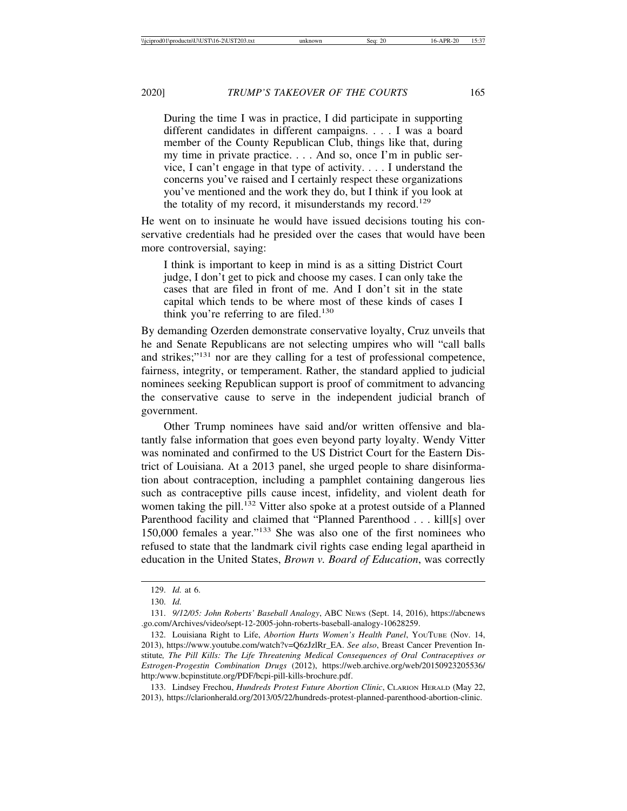During the time I was in practice, I did participate in supporting different candidates in different campaigns. . . . I was a board member of the County Republican Club, things like that, during my time in private practice. . . . And so, once I'm in public service, I can't engage in that type of activity. . . . I understand the concerns you've raised and I certainly respect these organizations you've mentioned and the work they do, but I think if you look at the totality of my record, it misunderstands my record.<sup>129</sup>

He went on to insinuate he would have issued decisions touting his conservative credentials had he presided over the cases that would have been more controversial, saying:

I think is important to keep in mind is as a sitting District Court judge, I don't get to pick and choose my cases. I can only take the cases that are filed in front of me. And I don't sit in the state capital which tends to be where most of these kinds of cases I think you're referring to are filed.<sup>130</sup>

By demanding Ozerden demonstrate conservative loyalty, Cruz unveils that he and Senate Republicans are not selecting umpires who will "call balls and strikes;"131 nor are they calling for a test of professional competence, fairness, integrity, or temperament. Rather, the standard applied to judicial nominees seeking Republican support is proof of commitment to advancing the conservative cause to serve in the independent judicial branch of government.

Other Trump nominees have said and/or written offensive and blatantly false information that goes even beyond party loyalty. Wendy Vitter was nominated and confirmed to the US District Court for the Eastern District of Louisiana. At a 2013 panel, she urged people to share disinformation about contraception, including a pamphlet containing dangerous lies such as contraceptive pills cause incest, infidelity, and violent death for women taking the pill.<sup>132</sup> Vitter also spoke at a protest outside of a Planned Parenthood facility and claimed that "Planned Parenthood . . . kill[s] over 150,000 females a year."133 She was also one of the first nominees who refused to state that the landmark civil rights case ending legal apartheid in education in the United States, *Brown v. Board of Education*, was correctly

<sup>129.</sup> *Id.* at 6.

<sup>130.</sup> *Id.*

<sup>131.</sup> *9/12/05: John Roberts' Baseball Analogy*, ABC NEWS (Sept. 14, 2016), https://abcnews .go.com/Archives/video/sept-12-2005-john-roberts-baseball-analogy-10628259.

<sup>132.</sup> Louisiana Right to Life, *Abortion Hurts Women's Health Panel*, YOUTUBE (Nov. 14, 2013), https://www.youtube.com/watch?v=Q6zJzlRr\_EA. *See also*, Breast Cancer Prevention Institute*, The Pill Kills: The Life Threatening Medical Consequences of Oral Contraceptives or Estrogen-Progestin Combination Drugs* (2012), https://web.archive.org/web/20150923205536/ http:/www.bcpinstitute.org/PDF/bcpi-pill-kills-brochure.pdf.

<sup>133.</sup> Lindsey Frechou, *Hundreds Protest Future Abortion Clinic*, CLARION HERALD (May 22, 2013), https://clarionherald.org/2013/05/22/hundreds-protest-planned-parenthood-abortion-clinic.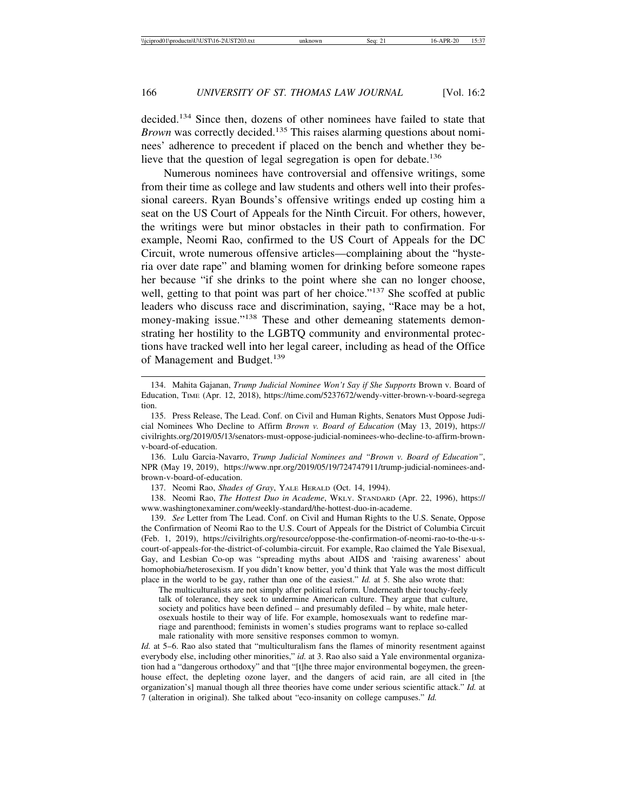decided.134 Since then, dozens of other nominees have failed to state that *Brown* was correctly decided.<sup>135</sup> This raises alarming questions about nominees' adherence to precedent if placed on the bench and whether they believe that the question of legal segregation is open for debate.<sup>136</sup>

Numerous nominees have controversial and offensive writings, some from their time as college and law students and others well into their professional careers. Ryan Bounds's offensive writings ended up costing him a seat on the US Court of Appeals for the Ninth Circuit. For others, however, the writings were but minor obstacles in their path to confirmation. For example, Neomi Rao, confirmed to the US Court of Appeals for the DC Circuit, wrote numerous offensive articles—complaining about the "hysteria over date rape" and blaming women for drinking before someone rapes her because "if she drinks to the point where she can no longer choose, well, getting to that point was part of her choice."<sup>137</sup> She scoffed at public leaders who discuss race and discrimination, saying, "Race may be a hot, money-making issue."138 These and other demeaning statements demonstrating her hostility to the LGBTQ community and environmental protections have tracked well into her legal career, including as head of the Office of Management and Budget.<sup>139</sup>

136. Lulu Garcia-Navarro, *Trump Judicial Nominees and "Brown v. Board of Education"*, NPR (May 19, 2019), https://www.npr.org/2019/05/19/724747911/trump-judicial-nominees-andbrown-v-board-of-education.

137. Neomi Rao, *Shades of Gray*, YALE HERALD (Oct. 14, 1994).

138. Neomi Rao, *The Hottest Duo in Academe*, WKLY. STANDARD (Apr. 22, 1996), https:// www.washingtonexaminer.com/weekly-standard/the-hottest-duo-in-academe.

139. *See* Letter from The Lead. Conf. on Civil and Human Rights to the U.S. Senate, Oppose the Confirmation of Neomi Rao to the U.S. Court of Appeals for the District of Columbia Circuit (Feb. 1, 2019), https://civilrights.org/resource/oppose-the-confirmation-of-neomi-rao-to-the-u-scourt-of-appeals-for-the-district-of-columbia-circuit. For example, Rao claimed the Yale Bisexual, Gay, and Lesbian Co-op was "spreading myths about AIDS and 'raising awareness' about homophobia/heterosexism. If you didn't know better, you'd think that Yale was the most difficult place in the world to be gay, rather than one of the easiest." *Id.* at 5. She also wrote that:

The multiculturalists are not simply after political reform. Underneath their touchy-feely talk of tolerance, they seek to undermine American culture. They argue that culture, society and politics have been defined – and presumably defiled – by white, male heterosexuals hostile to their way of life. For example, homosexuals want to redefine marriage and parenthood; feminists in women's studies programs want to replace so-called male rationality with more sensitive responses common to womyn.

*Id.* at 5–6. Rao also stated that "multiculturalism fans the flames of minority resentment against everybody else, including other minorities," *id.* at 3. Rao also said a Yale environmental organization had a "dangerous orthodoxy" and that "[t]he three major environmental bogeymen, the greenhouse effect, the depleting ozone layer, and the dangers of acid rain, are all cited in [the organization's] manual though all three theories have come under serious scientific attack." *Id.* at 7 (alteration in original). She talked about "eco-insanity on college campuses." *Id.*

<sup>134.</sup> Mahita Gajanan, *Trump Judicial Nominee Won't Say if She Supports* Brown v. Board of Education, TIME (Apr. 12, 2018), https://time.com/5237672/wendy-vitter-brown-v-board-segrega tion.

<sup>135.</sup> Press Release, The Lead. Conf. on Civil and Human Rights, Senators Must Oppose Judicial Nominees Who Decline to Affirm *Brown v. Board of Education* (May 13, 2019), https:// civilrights.org/2019/05/13/senators-must-oppose-judicial-nominees-who-decline-to-affirm-brownv-board-of-education.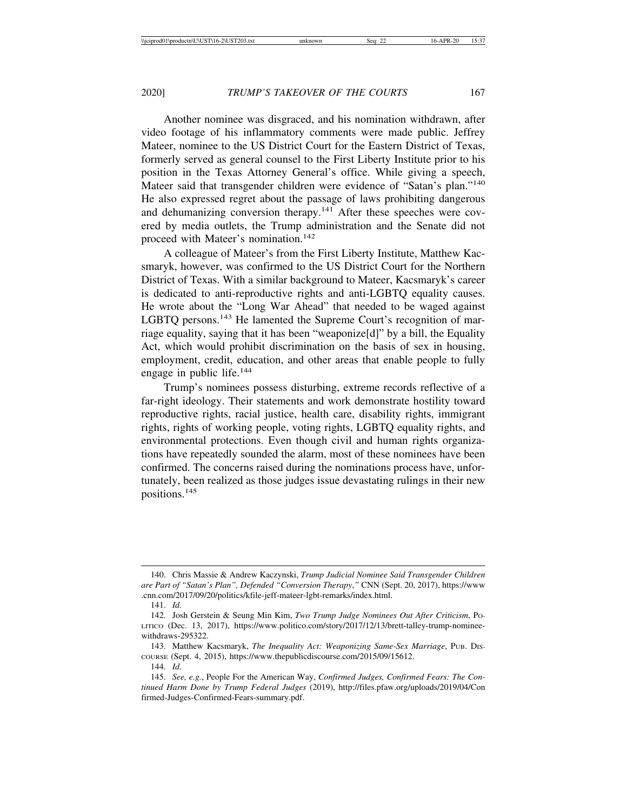Another nominee was disgraced, and his nomination withdrawn, after video footage of his inflammatory comments were made public. Jeffrey Mateer, nominee to the US District Court for the Eastern District of Texas, formerly served as general counsel to the First Liberty Institute prior to his position in the Texas Attorney General's office. While giving a speech, Mateer said that transgender children were evidence of "Satan's plan."<sup>140</sup> He also expressed regret about the passage of laws prohibiting dangerous and dehumanizing conversion therapy.141 After these speeches were covered by media outlets, the Trump administration and the Senate did not proceed with Mateer's nomination.<sup>142</sup>

A colleague of Mateer's from the First Liberty Institute, Matthew Kacsmaryk, however, was confirmed to the US District Court for the Northern District of Texas. With a similar background to Mateer, Kacsmaryk's career is dedicated to anti-reproductive rights and anti-LGBTQ equality causes. He wrote about the "Long War Ahead" that needed to be waged against LGBTO persons.<sup>143</sup> He lamented the Supreme Court's recognition of marriage equality, saying that it has been "weaponize[d]" by a bill, the Equality Act, which would prohibit discrimination on the basis of sex in housing, employment, credit, education, and other areas that enable people to fully engage in public life.<sup>144</sup>

Trump's nominees possess disturbing, extreme records reflective of a far-right ideology. Their statements and work demonstrate hostility toward reproductive rights, racial justice, health care, disability rights, immigrant rights, rights of working people, voting rights, LGBTQ equality rights, and environmental protections. Even though civil and human rights organizations have repeatedly sounded the alarm, most of these nominees have been confirmed. The concerns raised during the nominations process have, unfortunately, been realized as those judges issue devastating rulings in their new positions.<sup>145</sup>

<sup>140.</sup> Chris Massie & Andrew Kaczynski, *Trump Judicial Nominee Said Transgender Children are Part of "Satan's Plan", Defended "Conversion Therapy*,*"* CNN (Sept. 20, 2017), https://www .cnn.com/2017/09/20/politics/kfile-jeff-mateer-lgbt-remarks/index.html.

<sup>141.</sup> *Id.*

<sup>142.</sup> Josh Gerstein & Seung Min Kim, *Two Trump Judge Nominees Out After Criticism*, PO-LITICO (Dec. 13, 2017), https://www.politico.com/story/2017/12/13/brett-talley-trump-nomineewithdraws-295322.

<sup>143.</sup> Matthew Kacsmaryk, *The Inequality Act: Weaponizing Same-Sex Marriage*, PUB. DIS-COURSE (Sept. 4, 2015), https://www.thepublicdiscourse.com/2015/09/15612.

<sup>144.</sup> *Id.*

<sup>145.</sup> *See, e.g.*, People For the American Way, *Confirmed Judges, Confirmed Fears: The Continued Harm Done by Trump Federal Judges* (2019), http://files.pfaw.org/uploads/2019/04/Con firmed-Judges-Confirmed-Fears-summary.pdf.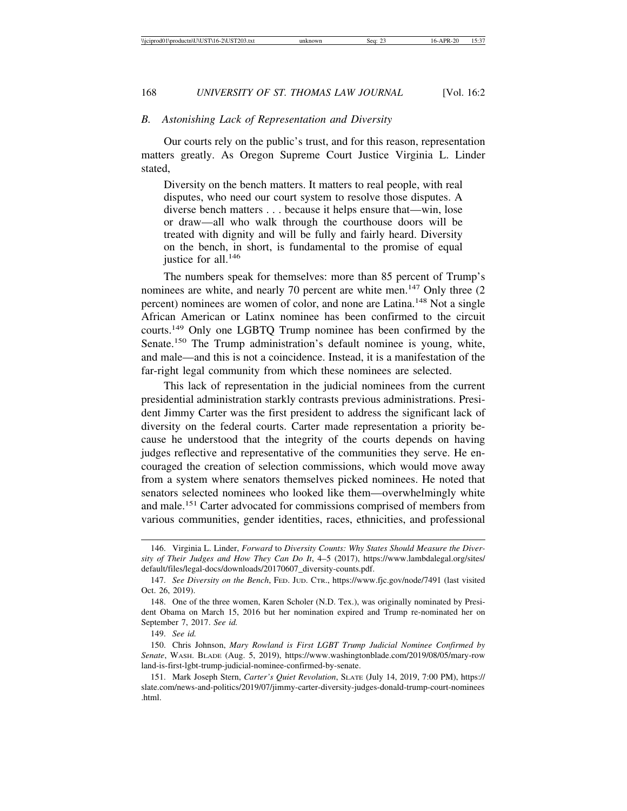#### *B. Astonishing Lack of Representation and Diversity*

Our courts rely on the public's trust, and for this reason, representation matters greatly. As Oregon Supreme Court Justice Virginia L. Linder stated,

Diversity on the bench matters. It matters to real people, with real disputes, who need our court system to resolve those disputes. A diverse bench matters . . . because it helps ensure that—win, lose or draw—all who walk through the courthouse doors will be treated with dignity and will be fully and fairly heard. Diversity on the bench, in short, is fundamental to the promise of equal iustice for all. $146$ 

The numbers speak for themselves: more than 85 percent of Trump's nominees are white, and nearly 70 percent are white men.<sup>147</sup> Only three  $(2)$ percent) nominees are women of color, and none are Latina.<sup>148</sup> Not a single African American or Latinx nominee has been confirmed to the circuit courts.149 Only one LGBTQ Trump nominee has been confirmed by the Senate.<sup>150</sup> The Trump administration's default nominee is young, white, and male—and this is not a coincidence. Instead, it is a manifestation of the far-right legal community from which these nominees are selected.

This lack of representation in the judicial nominees from the current presidential administration starkly contrasts previous administrations. President Jimmy Carter was the first president to address the significant lack of diversity on the federal courts. Carter made representation a priority because he understood that the integrity of the courts depends on having judges reflective and representative of the communities they serve. He encouraged the creation of selection commissions, which would move away from a system where senators themselves picked nominees. He noted that senators selected nominees who looked like them—overwhelmingly white and male.151 Carter advocated for commissions comprised of members from various communities, gender identities, races, ethnicities, and professional

<sup>146.</sup> Virginia L. Linder, *Forward* to *Diversity Counts: Why States Should Measure the Diversity of Their Judges and How They Can Do It*, 4–5 (2017), https://www.lambdalegal.org/sites/ default/files/legal-docs/downloads/20170607\_diversity-counts.pdf.

<sup>147.</sup> *See Diversity on the Bench*, FED. JUD. CTR., https://www.fjc.gov/node/7491 (last visited Oct. 26, 2019).

<sup>148.</sup> One of the three women, Karen Scholer (N.D. Tex.), was originally nominated by President Obama on March 15, 2016 but her nomination expired and Trump re-nominated her on September 7, 2017. *See id.*

<sup>149.</sup> *See id.*

<sup>150.</sup> Chris Johnson, *Mary Rowland is First LGBT Trump Judicial Nominee Confirmed by Senate*, WASH. BLADE (Aug. 5, 2019), https://www.washingtonblade.com/2019/08/05/mary-row land-is-first-lgbt-trump-judicial-nominee-confirmed-by-senate.

<sup>151.</sup> Mark Joseph Stern, *Carter's Quiet Revolution*, SLATE (July 14, 2019, 7:00 PM), https:// slate.com/news-and-politics/2019/07/jimmy-carter-diversity-judges-donald-trump-court-nominees .html.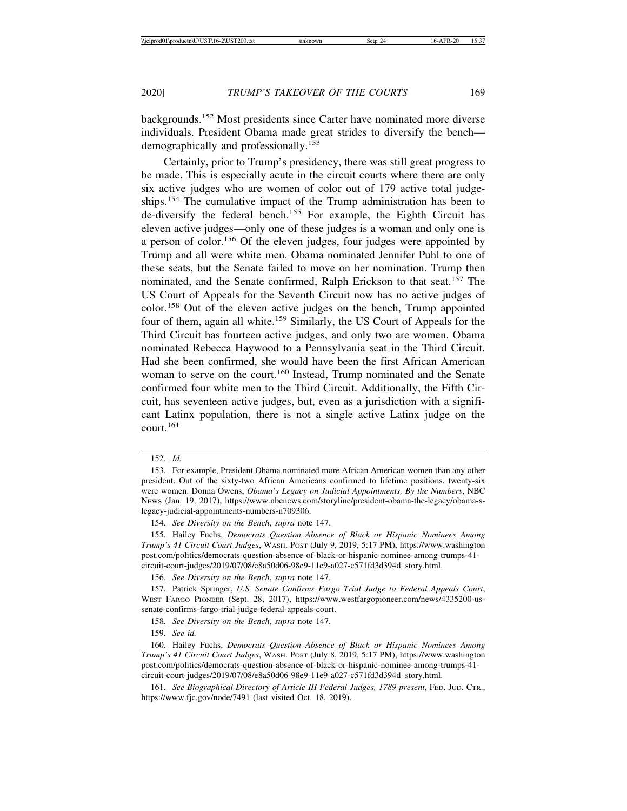backgrounds.152 Most presidents since Carter have nominated more diverse individuals. President Obama made great strides to diversify the bench demographically and professionally.<sup>153</sup>

Certainly, prior to Trump's presidency, there was still great progress to be made. This is especially acute in the circuit courts where there are only six active judges who are women of color out of 179 active total judgeships.<sup>154</sup> The cumulative impact of the Trump administration has been to de-diversify the federal bench.155 For example, the Eighth Circuit has eleven active judges—only one of these judges is a woman and only one is a person of color.156 Of the eleven judges, four judges were appointed by Trump and all were white men. Obama nominated Jennifer Puhl to one of these seats, but the Senate failed to move on her nomination. Trump then nominated, and the Senate confirmed, Ralph Erickson to that seat.<sup>157</sup> The US Court of Appeals for the Seventh Circuit now has no active judges of color.158 Out of the eleven active judges on the bench, Trump appointed four of them, again all white.159 Similarly, the US Court of Appeals for the Third Circuit has fourteen active judges, and only two are women. Obama nominated Rebecca Haywood to a Pennsylvania seat in the Third Circuit. Had she been confirmed, she would have been the first African American woman to serve on the court.<sup>160</sup> Instead, Trump nominated and the Senate confirmed four white men to the Third Circuit. Additionally, the Fifth Circuit, has seventeen active judges, but, even as a jurisdiction with a significant Latinx population, there is not a single active Latinx judge on the court.161

156. *See Diversity on the Bench*, *supra* note 147.

159. *See id.*

<sup>152.</sup> *Id.*

<sup>153.</sup> For example, President Obama nominated more African American women than any other president. Out of the sixty-two African Americans confirmed to lifetime positions, twenty-six were women. Donna Owens, *Obama's Legacy on Judicial Appointments, By the Numbers*, NBC NEWS (Jan. 19, 2017), https://www.nbcnews.com/storyline/president-obama-the-legacy/obama-slegacy-judicial-appointments-numbers-n709306.

<sup>154.</sup> *See Diversity on the Bench*, *supra* note 147.

<sup>155.</sup> Hailey Fuchs, *Democrats Question Absence of Black or Hispanic Nominees Among Trump's 41 Circuit Court Judges*, WASH. POST (July 9, 2019, 5:17 PM), https://www.washington post.com/politics/democrats-question-absence-of-black-or-hispanic-nominee-among-trumps-41 circuit-court-judges/2019/07/08/e8a50d06-98e9-11e9-a027-c571fd3d394d\_story.html.

<sup>157.</sup> Patrick Springer, *U.S. Senate Confirms Fargo Trial Judge to Federal Appeals Court*, WEST FARGO PIONEER (Sept. 28, 2017), https://www.westfargopioneer.com/news/4335200-ussenate-confirms-fargo-trial-judge-federal-appeals-court.

<sup>158.</sup> *See Diversity on the Bench*, *supra* note 147.

<sup>160.</sup> Hailey Fuchs, *Democrats Question Absence of Black or Hispanic Nominees Among Trump's 41 Circuit Court Judges*, WASH. POST (July 8, 2019, 5:17 PM), https://www.washington post.com/politics/democrats-question-absence-of-black-or-hispanic-nominee-among-trumps-41 circuit-court-judges/2019/07/08/e8a50d06-98e9-11e9-a027-c571fd3d394d\_story.html.

<sup>161.</sup> *See Biographical Directory of Article III Federal Judges, 1789-present*, FED. JUD. CTR., https://www.fjc.gov/node/7491 (last visited Oct. 18, 2019).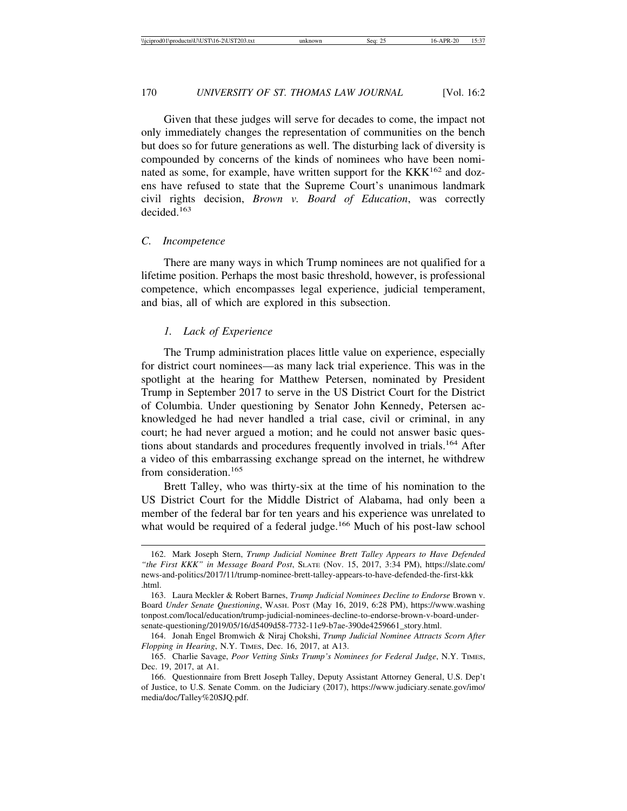Given that these judges will serve for decades to come, the impact not only immediately changes the representation of communities on the bench but does so for future generations as well. The disturbing lack of diversity is compounded by concerns of the kinds of nominees who have been nominated as some, for example, have written support for the  $KKK^{162}$  and dozens have refused to state that the Supreme Court's unanimous landmark civil rights decision, *Brown v. Board of Education*, was correctly decided<sup>163</sup>

## *C. Incompetence*

There are many ways in which Trump nominees are not qualified for a lifetime position. Perhaps the most basic threshold, however, is professional competence, which encompasses legal experience, judicial temperament, and bias, all of which are explored in this subsection.

#### *1. Lack of Experience*

The Trump administration places little value on experience, especially for district court nominees—as many lack trial experience. This was in the spotlight at the hearing for Matthew Petersen, nominated by President Trump in September 2017 to serve in the US District Court for the District of Columbia. Under questioning by Senator John Kennedy, Petersen acknowledged he had never handled a trial case, civil or criminal, in any court; he had never argued a motion; and he could not answer basic questions about standards and procedures frequently involved in trials.164 After a video of this embarrassing exchange spread on the internet, he withdrew from consideration.<sup>165</sup>

Brett Talley, who was thirty-six at the time of his nomination to the US District Court for the Middle District of Alabama, had only been a member of the federal bar for ten years and his experience was unrelated to what would be required of a federal judge.<sup>166</sup> Much of his post-law school

<sup>162.</sup> Mark Joseph Stern, *Trump Judicial Nominee Brett Talley Appears to Have Defended "the First KKK" in Message Board Post*, SLATE (Nov. 15, 2017, 3:34 PM), https://slate.com/ news-and-politics/2017/11/trump-nominee-brett-talley-appears-to-have-defended-the-first-kkk .html.

<sup>163.</sup> Laura Meckler & Robert Barnes, *Trump Judicial Nominees Decline to Endorse* Brown v. Board *Under Senate Questioning*, WASH. POST (May 16, 2019, 6:28 PM), https://www.washing tonpost.com/local/education/trump-judicial-nominees-decline-to-endorse-brown-v-board-undersenate-questioning/2019/05/16/d5409d58-7732-11e9-b7ae-390de4259661\_story.html.

<sup>164.</sup> Jonah Engel Bromwich & Niraj Chokshi, *Trump Judicial Nominee Attracts Scorn After Flopping in Hearing*, N.Y. TIMES, Dec. 16, 2017, at A13.

<sup>165.</sup> Charlie Savage, *Poor Vetting Sinks Trump's Nominees for Federal Judge*, N.Y. TIMES, Dec. 19, 2017, at A1.

<sup>166.</sup> Questionnaire from Brett Joseph Talley, Deputy Assistant Attorney General, U.S. Dep't of Justice, to U.S. Senate Comm. on the Judiciary (2017), https://www.judiciary.senate.gov/imo/ media/doc/Talley%20SJQ.pdf.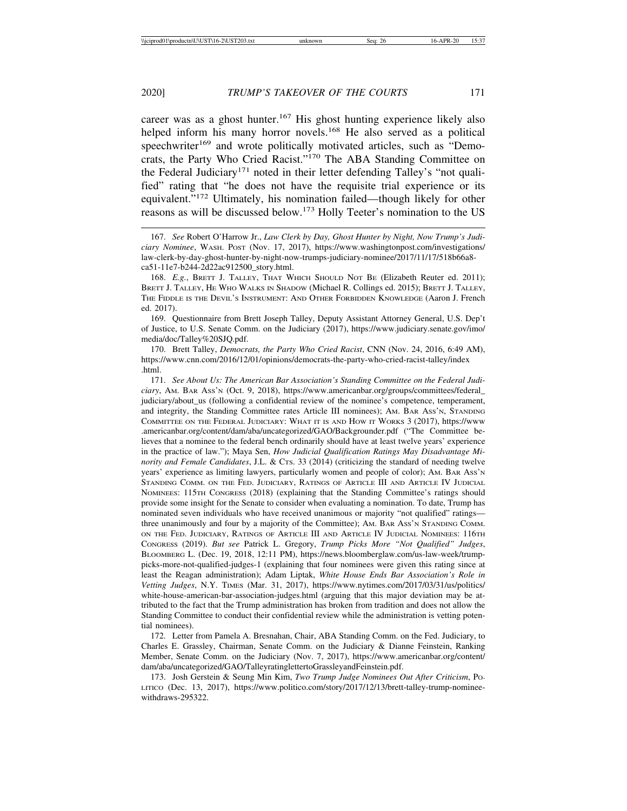career was as a ghost hunter.<sup>167</sup> His ghost hunting experience likely also helped inform his many horror novels.<sup>168</sup> He also served as a political speechwriter<sup>169</sup> and wrote politically motivated articles, such as "Democrats, the Party Who Cried Racist."170 The ABA Standing Committee on the Federal Judiciary<sup>171</sup> noted in their letter defending Talley's "not qualified" rating that "he does not have the requisite trial experience or its equivalent."172 Ultimately, his nomination failed—though likely for other reasons as will be discussed below.173 Holly Teeter's nomination to the US

169. Questionnaire from Brett Joseph Talley, Deputy Assistant Attorney General, U.S. Dep't of Justice, to U.S. Senate Comm. on the Judiciary (2017), https://www.judiciary.senate.gov/imo/ media/doc/Talley%20SJQ.pdf.

170. Brett Talley, *Democrats, the Party Who Cried Racist*, CNN (Nov. 24, 2016, 6:49 AM), https://www.cnn.com/2016/12/01/opinions/democrats-the-party-who-cried-racist-talley/index .html.

171. *See About Us: The American Bar Association's Standing Committee on the Federal Judiciary*, AM. BAR ASS'N (Oct. 9, 2018), https://www.americanbar.org/groups/committees/federal\_ judiciary/about\_us (following a confidential review of the nominee's competence, temperament, and integrity, the Standing Committee rates Article III nominees); AM. BAR ASS'N, STANDING COMMITTEE ON THE FEDERAL JUDICIARY: WHAT IT IS AND HOW IT WORKS 3 (2017), https://www .americanbar.org/content/dam/aba/uncategorized/GAO/Backgrounder.pdf ("The Committee believes that a nominee to the federal bench ordinarily should have at least twelve years' experience in the practice of law."); Maya Sen, *How Judicial Qualification Ratings May Disadvantage Minority and Female Candidates*, J.L. & CTS. 33 (2014) (criticizing the standard of needing twelve years' experience as limiting lawyers, particularly women and people of color); AM. BAR ASS'N STANDING COMM. ON THE FED. JUDICIARY, RATINGS OF ARTICLE III AND ARTICLE IV JUDICIAL NOMINEES: 115TH CONGRESS (2018) (explaining that the Standing Committee's ratings should provide some insight for the Senate to consider when evaluating a nomination. To date, Trump has nominated seven individuals who have received unanimous or majority "not qualified" ratings three unanimously and four by a majority of the Committee); AM. BAR ASS'N STANDING COMM. ON THE FED. JUDICIARY, RATINGS OF ARTICLE III AND ARTICLE IV JUDICIAL NOMINEES: 116TH CONGRESS (2019). *But see* Patrick L. Gregory, *Trump Picks More "Not Qualified" Judges*, BLOOMBERG L. (Dec. 19, 2018, 12:11 PM), https://news.bloomberglaw.com/us-law-week/trumppicks-more-not-qualified-judges-1 (explaining that four nominees were given this rating since at least the Reagan administration); Adam Liptak, *White House Ends Bar Association's Role in Vetting Judges*, N.Y. TIMES (Mar. 31, 2017), https://www.nytimes.com/2017/03/31/us/politics/ white-house-american-bar-association-judges.html (arguing that this major deviation may be attributed to the fact that the Trump administration has broken from tradition and does not allow the Standing Committee to conduct their confidential review while the administration is vetting potential nominees).

172. Letter from Pamela A. Bresnahan, Chair, ABA Standing Comm. on the Fed. Judiciary, to Charles E. Grassley, Chairman, Senate Comm. on the Judiciary & Dianne Feinstein, Ranking Member, Senate Comm. on the Judiciary (Nov. 7, 2017), https://www.americanbar.org/content/ dam/aba/uncategorized/GAO/TalleyratinglettertoGrassleyandFeinstein.pdf.

173. Josh Gerstein & Seung Min Kim, *Two Trump Judge Nominees Out After Criticism*, PO-LITICO (Dec. 13, 2017), https://www.politico.com/story/2017/12/13/brett-talley-trump-nomineewithdraws-295322.

<sup>167.</sup> *See* Robert O'Harrow Jr., *Law Clerk by Day, Ghost Hunter by Night, Now Trump's Judiciary Nominee*, WASH. POST (Nov. 17, 2017), https://www.washingtonpost.com/investigations/ law-clerk-by-day-ghost-hunter-by-night-now-trumps-judiciary-nominee/2017/11/17/518b66a8 ca51-11e7-b244-2d22ac912500\_story.html.

<sup>168.</sup> *E.g.*, BRETT J. TALLEY, THAT WHICH SHOULD NOT BE (Elizabeth Reuter ed. 2011); BRETT J. TALLEY, HE WHO WALKS IN SHADOW (Michael R. Collings ed. 2015); BRETT J. TALLEY, THE FIDDLE IS THE DEVIL'S INSTRUMENT: AND OTHER FORBIDDEN KNOWLEDGE (Aaron J. French ed. 2017).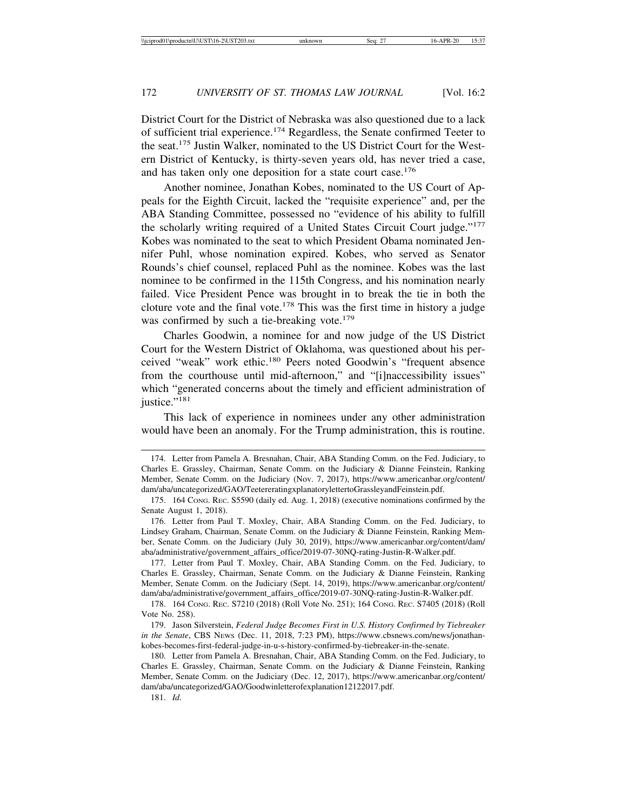District Court for the District of Nebraska was also questioned due to a lack of sufficient trial experience.174 Regardless, the Senate confirmed Teeter to the seat.175 Justin Walker, nominated to the US District Court for the Western District of Kentucky, is thirty-seven years old, has never tried a case, and has taken only one deposition for a state court case.<sup>176</sup>

Another nominee, Jonathan Kobes, nominated to the US Court of Appeals for the Eighth Circuit, lacked the "requisite experience" and, per the ABA Standing Committee, possessed no "evidence of his ability to fulfill the scholarly writing required of a United States Circuit Court judge."<sup>177</sup> Kobes was nominated to the seat to which President Obama nominated Jennifer Puhl, whose nomination expired. Kobes, who served as Senator Rounds's chief counsel, replaced Puhl as the nominee. Kobes was the last nominee to be confirmed in the 115th Congress, and his nomination nearly failed. Vice President Pence was brought in to break the tie in both the cloture vote and the final vote.<sup>178</sup> This was the first time in history a judge was confirmed by such a tie-breaking vote.<sup>179</sup>

Charles Goodwin, a nominee for and now judge of the US District Court for the Western District of Oklahoma, was questioned about his perceived "weak" work ethic.180 Peers noted Goodwin's "frequent absence from the courthouse until mid-afternoon," and "[i]naccessibility issues" which "generated concerns about the timely and efficient administration of justice."<sup>181</sup>

This lack of experience in nominees under any other administration would have been an anomaly. For the Trump administration, this is routine.

177. Letter from Paul T. Moxley, Chair, ABA Standing Comm. on the Fed. Judiciary, to Charles E. Grassley, Chairman, Senate Comm. on the Judiciary & Dianne Feinstein, Ranking Member, Senate Comm. on the Judiciary (Sept. 14, 2019), https://www.americanbar.org/content/ dam/aba/administrative/government\_affairs\_office/2019-07-30NQ-rating-Justin-R-Walker.pdf.

181. *Id.*

<sup>174.</sup> Letter from Pamela A. Bresnahan, Chair, ABA Standing Comm. on the Fed. Judiciary, to Charles E. Grassley, Chairman, Senate Comm. on the Judiciary & Dianne Feinstein, Ranking Member, Senate Comm. on the Judiciary (Nov. 7, 2017), https://www.americanbar.org/content/ dam/aba/uncategorized/GAO/TeetereratingxplanatorylettertoGrassleyandFeinstein.pdf.

<sup>175. 164</sup> CONG. REC. S5590 (daily ed. Aug. 1, 2018) (executive nominations confirmed by the Senate August 1, 2018).

<sup>176.</sup> Letter from Paul T. Moxley, Chair, ABA Standing Comm. on the Fed. Judiciary, to Lindsey Graham, Chairman, Senate Comm. on the Judiciary & Dianne Feinstein, Ranking Member, Senate Comm. on the Judiciary (July 30, 2019), https://www.americanbar.org/content/dam/ aba/administrative/government\_affairs\_office/2019-07-30NQ-rating-Justin-R-Walker.pdf.

<sup>178. 164</sup> CONG. REC. S7210 (2018) (Roll Vote No. 251); 164 CONG. REC. S7405 (2018) (Roll Vote No. 258).

<sup>179.</sup> Jason Silverstein, *Federal Judge Becomes First in U.S. History Confirmed by Tiebreaker in the Senate*, CBS NEWS (Dec. 11, 2018, 7:23 PM), https://www.cbsnews.com/news/jonathankobes-becomes-first-federal-judge-in-u-s-history-confirmed-by-tiebreaker-in-the-senate.

<sup>180.</sup> Letter from Pamela A. Bresnahan, Chair, ABA Standing Comm. on the Fed. Judiciary, to Charles E. Grassley, Chairman, Senate Comm. on the Judiciary & Dianne Feinstein, Ranking Member, Senate Comm. on the Judiciary (Dec. 12, 2017), https://www.americanbar.org/content/ dam/aba/uncategorized/GAO/Goodwinletterofexplanation12122017.pdf.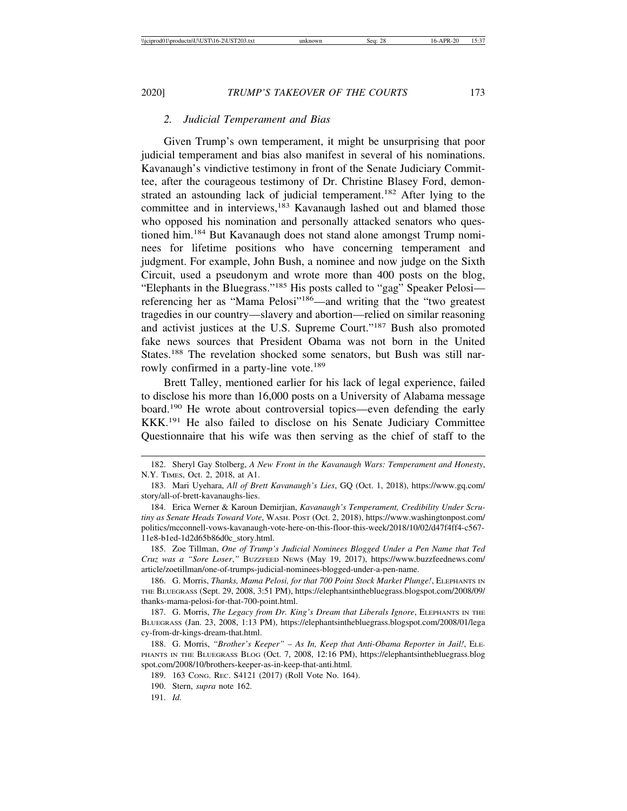#### *2. Judicial Temperament and Bias*

Given Trump's own temperament, it might be unsurprising that poor judicial temperament and bias also manifest in several of his nominations. Kavanaugh's vindictive testimony in front of the Senate Judiciary Committee, after the courageous testimony of Dr. Christine Blasey Ford, demonstrated an astounding lack of judicial temperament.<sup>182</sup> After lying to the committee and in interviews,<sup>183</sup> Kavanaugh lashed out and blamed those who opposed his nomination and personally attacked senators who questioned him.184 But Kavanaugh does not stand alone amongst Trump nominees for lifetime positions who have concerning temperament and judgment. For example, John Bush, a nominee and now judge on the Sixth Circuit, used a pseudonym and wrote more than 400 posts on the blog, "Elephants in the Bluegrass."185 His posts called to "gag" Speaker Pelosi referencing her as "Mama Pelosi"186—and writing that the "two greatest tragedies in our country—slavery and abortion—relied on similar reasoning and activist justices at the U.S. Supreme Court."187 Bush also promoted fake news sources that President Obama was not born in the United States.188 The revelation shocked some senators, but Bush was still narrowly confirmed in a party-line vote.<sup>189</sup>

Brett Talley, mentioned earlier for his lack of legal experience, failed to disclose his more than 16,000 posts on a University of Alabama message board.190 He wrote about controversial topics—even defending the early KKK.191 He also failed to disclose on his Senate Judiciary Committee Questionnaire that his wife was then serving as the chief of staff to the

184. Erica Werner & Karoun Demirjian, *Kavanaugh's Temperament, Credibility Under Scrutiny as Senate Heads Toward Vote*, WASH. POST (Oct. 2, 2018), https://www.washingtonpost.com/ politics/mcconnell-vows-kavanaugh-vote-here-on-this-floor-this-week/2018/10/02/d47f4ff4-c567- 11e8-b1ed-1d2d65b86d0c\_story.html.

185. Zoe Tillman, *One of Trump's Judicial Nominees Blogged Under a Pen Name that Ted Cruz was a "Sore Loser*,*"* BUZZFEED NEWS (May 19, 2017), https://www.buzzfeednews.com/ article/zoetillman/one-of-trumps-judicial-nominees-blogged-under-a-pen-name.

186. G. Morris, *Thanks, Mama Pelosi, for that 700 Point Stock Market Plunge!*, ELEPHANTS IN THE BLUEGRASS (Sept. 29, 2008, 3:51 PM), https://elephantsinthebluegrass.blogspot.com/2008/09/ thanks-mama-pelosi-for-that-700-point.html.

187. G. Morris, *The Legacy from Dr. King's Dream that Liberals Ignore*, ELEPHANTS IN THE BLUEGRASS (Jan. 23, 2008, 1:13 PM), https://elephantsinthebluegrass.blogspot.com/2008/01/lega cy-from-dr-kings-dream-that.html.

188. G. Morris, *"Brother's Keeper" – As In, Keep that Anti-Obama Reporter in Jail!*, ELE-PHANTS IN THE BLUEGRASS BLOG (Oct. 7, 2008, 12:16 PM), https://elephantsinthebluegrass.blog spot.com/2008/10/brothers-keeper-as-in-keep-that-anti.html.

189. 163 CONG. REC. S4121 (2017) (Roll Vote No. 164).

190. Stern, *supra* note 162.

191. *Id.*

<sup>182.</sup> Sheryl Gay Stolberg, *A New Front in the Kavanaugh Wars: Temperament and Honesty*, N.Y. TIMES, Oct. 2, 2018, at A1.

<sup>183.</sup> Mari Uyehara, *All of Brett Kavanaugh's Lies*, GQ (Oct. 1, 2018), https://www.gq.com/ story/all-of-brett-kavanaughs-lies.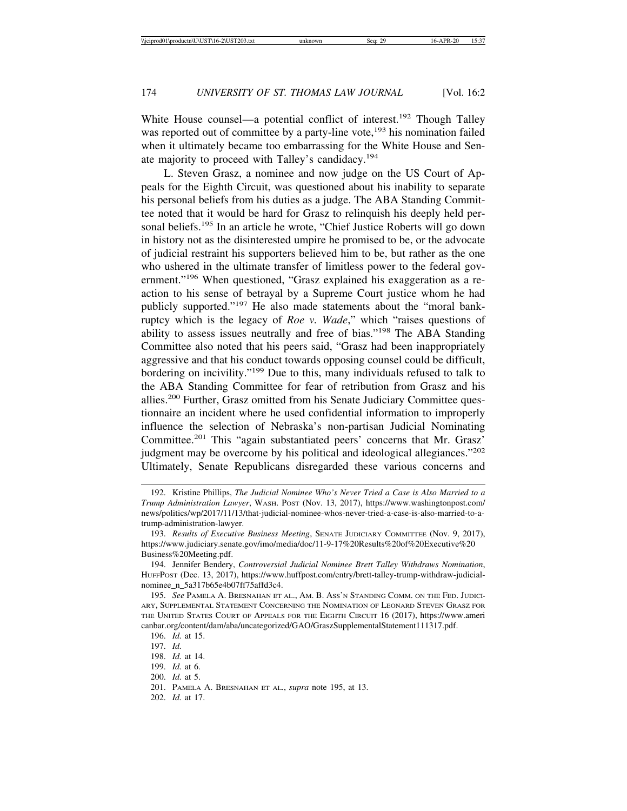White House counsel—a potential conflict of interest.<sup>192</sup> Though Talley was reported out of committee by a party-line vote,<sup>193</sup> his nomination failed when it ultimately became too embarrassing for the White House and Senate majority to proceed with Talley's candidacy.<sup>194</sup>

L. Steven Grasz, a nominee and now judge on the US Court of Appeals for the Eighth Circuit, was questioned about his inability to separate his personal beliefs from his duties as a judge. The ABA Standing Committee noted that it would be hard for Grasz to relinquish his deeply held personal beliefs.195 In an article he wrote, "Chief Justice Roberts will go down in history not as the disinterested umpire he promised to be, or the advocate of judicial restraint his supporters believed him to be, but rather as the one who ushered in the ultimate transfer of limitless power to the federal government."196 When questioned, "Grasz explained his exaggeration as a reaction to his sense of betrayal by a Supreme Court justice whom he had publicly supported."197 He also made statements about the "moral bankruptcy which is the legacy of *Roe v. Wade*," which "raises questions of ability to assess issues neutrally and free of bias."198 The ABA Standing Committee also noted that his peers said, "Grasz had been inappropriately aggressive and that his conduct towards opposing counsel could be difficult, bordering on incivility."199 Due to this, many individuals refused to talk to the ABA Standing Committee for fear of retribution from Grasz and his allies.200 Further, Grasz omitted from his Senate Judiciary Committee questionnaire an incident where he used confidential information to improperly influence the selection of Nebraska's non-partisan Judicial Nominating Committee.<sup>201</sup> This "again substantiated peers' concerns that Mr. Grasz' judgment may be overcome by his political and ideological allegiances."<sup>202</sup> Ultimately, Senate Republicans disregarded these various concerns and

- 199. *Id.* at 6.
- 200. *Id.* at 5.
- 201. PAMELA A. BRESNAHAN ET AL*.*, *supra* note 195, at 13.
- 202. *Id.* at 17.

<sup>192.</sup> Kristine Phillips, *The Judicial Nominee Who's Never Tried a Case is Also Married to a Trump Administration Lawyer*, WASH. POST (Nov. 13, 2017), https://www.washingtonpost.com/ news/politics/wp/2017/11/13/that-judicial-nominee-whos-never-tried-a-case-is-also-married-to-atrump-administration-lawyer.

<sup>193.</sup> *Results of Executive Business Meeting*, SENATE JUDICIARY COMMITTEE (Nov. 9, 2017), https://www.judiciary.senate.gov/imo/media/doc/11-9-17%20Results%20of%20Executive%20 Business%20Meeting.pdf.

<sup>194.</sup> Jennifer Bendery, *Controversial Judicial Nominee Brett Talley Withdraws Nomination*, HUFFPOST (Dec. 13, 2017), https://www.huffpost.com/entry/brett-talley-trump-withdraw-judicialnominee\_n\_5a317b65e4b07ff75affd3c4.

<sup>195.</sup> *See* PAMELA A. BRESNAHAN ET AL., AM. B. ASS'N STANDING COMM. ON THE FED. JUDICI-ARY, SUPPLEMENTAL STATEMENT CONCERNING THE NOMINATION OF LEONARD STEVEN GRASZ FOR THE UNITED STATES COURT OF APPEALS FOR THE EIGHTH CIRCUIT 16 (2017), https://www.ameri canbar.org/content/dam/aba/uncategorized/GAO/GraszSupplementalStatement111317.pdf.

<sup>196.</sup> *Id.* at 15.

<sup>197.</sup> *Id.*

<sup>198.</sup> *Id.* at 14.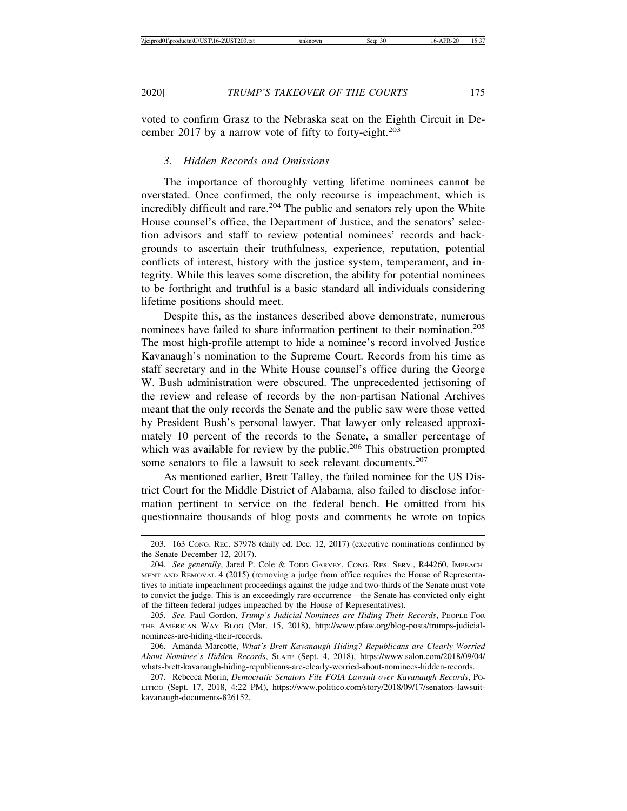voted to confirm Grasz to the Nebraska seat on the Eighth Circuit in December 2017 by a narrow vote of fifty to forty-eight. $203$ 

#### *3. Hidden Records and Omissions*

The importance of thoroughly vetting lifetime nominees cannot be overstated. Once confirmed, the only recourse is impeachment, which is incredibly difficult and rare.<sup>204</sup> The public and senators rely upon the White House counsel's office, the Department of Justice, and the senators' selection advisors and staff to review potential nominees' records and backgrounds to ascertain their truthfulness, experience, reputation, potential conflicts of interest, history with the justice system, temperament, and integrity. While this leaves some discretion, the ability for potential nominees to be forthright and truthful is a basic standard all individuals considering lifetime positions should meet.

Despite this, as the instances described above demonstrate, numerous nominees have failed to share information pertinent to their nomination.<sup>205</sup> The most high-profile attempt to hide a nominee's record involved Justice Kavanaugh's nomination to the Supreme Court. Records from his time as staff secretary and in the White House counsel's office during the George W. Bush administration were obscured. The unprecedented jettisoning of the review and release of records by the non-partisan National Archives meant that the only records the Senate and the public saw were those vetted by President Bush's personal lawyer. That lawyer only released approximately 10 percent of the records to the Senate, a smaller percentage of which was available for review by the public.<sup>206</sup> This obstruction prompted some senators to file a lawsuit to seek relevant documents.<sup>207</sup>

As mentioned earlier, Brett Talley, the failed nominee for the US District Court for the Middle District of Alabama, also failed to disclose information pertinent to service on the federal bench. He omitted from his questionnaire thousands of blog posts and comments he wrote on topics

<sup>203. 163</sup> CONG. REC. S7978 (daily ed. Dec. 12, 2017) (executive nominations confirmed by the Senate December 12, 2017).

<sup>204.</sup> *See generally*, Jared P. Cole & TODD GARVEY, CONG. RES. SERV., R44260, IMPEACH-MENT AND REMOVAL 4 (2015) (removing a judge from office requires the House of Representatives to initiate impeachment proceedings against the judge and two-thirds of the Senate must vote to convict the judge. This is an exceedingly rare occurrence—the Senate has convicted only eight of the fifteen federal judges impeached by the House of Representatives).

<sup>205.</sup> *See,* Paul Gordon, *Trump's Judicial Nominees are Hiding Their Records*, PEOPLE FOR THE AMERICAN WAY BLOG (Mar. 15, 2018), http://www.pfaw.org/blog-posts/trumps-judicialnominees-are-hiding-their-records.

<sup>206.</sup> Amanda Marcotte, *What's Brett Kavanaugh Hiding? Republicans are Clearly Worried About Nominee's Hidden Records*, SLATE (Sept. 4, 2018), https://www.salon.com/2018/09/04/ whats-brett-kavanaugh-hiding-republicans-are-clearly-worried-about-nominees-hidden-records.

<sup>207.</sup> Rebecca Morin, *Democratic Senators File FOIA Lawsuit over Kavanaugh Records*, PO-LITICO (Sept. 17, 2018, 4:22 PM), https://www.politico.com/story/2018/09/17/senators-lawsuitkavanaugh-documents-826152.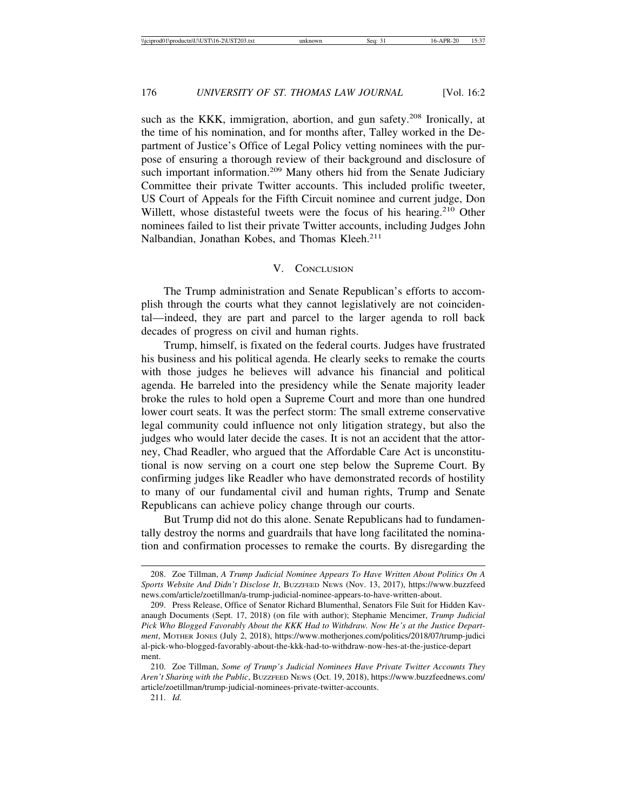such as the KKK, immigration, abortion, and gun safety.<sup>208</sup> Ironically, at the time of his nomination, and for months after, Talley worked in the Department of Justice's Office of Legal Policy vetting nominees with the purpose of ensuring a thorough review of their background and disclosure of such important information.<sup>209</sup> Many others hid from the Senate Judiciary Committee their private Twitter accounts. This included prolific tweeter, US Court of Appeals for the Fifth Circuit nominee and current judge, Don Willett, whose distasteful tweets were the focus of his hearing.<sup>210</sup> Other nominees failed to list their private Twitter accounts, including Judges John Nalbandian, Jonathan Kobes, and Thomas Kleeh.<sup>211</sup>

### V. CONCLUSION

The Trump administration and Senate Republican's efforts to accomplish through the courts what they cannot legislatively are not coincidental—indeed, they are part and parcel to the larger agenda to roll back decades of progress on civil and human rights.

Trump, himself, is fixated on the federal courts. Judges have frustrated his business and his political agenda. He clearly seeks to remake the courts with those judges he believes will advance his financial and political agenda. He barreled into the presidency while the Senate majority leader broke the rules to hold open a Supreme Court and more than one hundred lower court seats. It was the perfect storm: The small extreme conservative legal community could influence not only litigation strategy, but also the judges who would later decide the cases. It is not an accident that the attorney, Chad Readler, who argued that the Affordable Care Act is unconstitutional is now serving on a court one step below the Supreme Court. By confirming judges like Readler who have demonstrated records of hostility to many of our fundamental civil and human rights, Trump and Senate Republicans can achieve policy change through our courts.

But Trump did not do this alone. Senate Republicans had to fundamentally destroy the norms and guardrails that have long facilitated the nomination and confirmation processes to remake the courts. By disregarding the

<sup>208.</sup> Zoe Tillman, *A Trump Judicial Nominee Appears To Have Written About Politics On A Sports Website And Didn't Disclose It*, BUZZFEED NEWS (Nov. 13, 2017), https://www.buzzfeed news.com/article/zoetillman/a-trump-judicial-nominee-appears-to-have-written-about.

<sup>209.</sup> Press Release, Office of Senator Richard Blumenthal, Senators File Suit for Hidden Kavanaugh Documents (Sept. 17, 2018) (on file with author); Stephanie Mencimer, *Trump Judicial Pick Who Blogged Favorably About the KKK Had to Withdraw. Now He's at the Justice Department*, MOTHER JONES (July 2, 2018), https://www.motherjones.com/politics/2018/07/trump-judici al-pick-who-blogged-favorably-about-the-kkk-had-to-withdraw-now-hes-at-the-justice-depart ment.

<sup>210.</sup> Zoe Tillman, *Some of Trump's Judicial Nominees Have Private Twitter Accounts They Aren't Sharing with the Public*, BUZZFEED NEWS (Oct. 19, 2018), https://www.buzzfeednews.com/ article/zoetillman/trump-judicial-nominees-private-twitter-accounts.

<sup>211.</sup> *Id.*